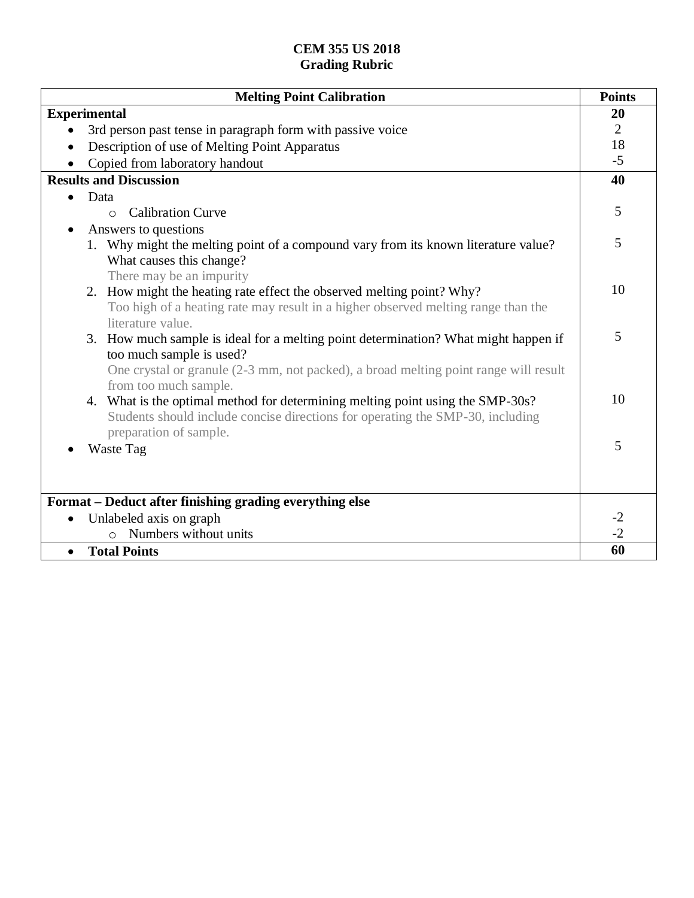| <b>Melting Point Calibration</b>                                                                                                                                 | <b>Points</b>  |
|------------------------------------------------------------------------------------------------------------------------------------------------------------------|----------------|
| <b>Experimental</b>                                                                                                                                              | 20             |
| 3rd person past tense in paragraph form with passive voice                                                                                                       | $\overline{2}$ |
| Description of use of Melting Point Apparatus<br>$\bullet$                                                                                                       | 18             |
| Copied from laboratory handout                                                                                                                                   | $-5$           |
| <b>Results and Discussion</b>                                                                                                                                    | 40             |
| Data<br>$\bullet$                                                                                                                                                |                |
| <b>Calibration Curve</b><br>$\Omega$                                                                                                                             | 5              |
| Answers to questions                                                                                                                                             |                |
| 1. Why might the melting point of a compound vary from its known literature value?<br>What causes this change?                                                   | 5              |
| There may be an impurity                                                                                                                                         |                |
| 2. How might the heating rate effect the observed melting point? Why?                                                                                            | 10             |
| Too high of a heating rate may result in a higher observed melting range than the                                                                                |                |
| literature value.                                                                                                                                                |                |
| 3. How much sample is ideal for a melting point determination? What might happen if                                                                              | 5              |
| too much sample is used?                                                                                                                                         |                |
| One crystal or granule (2-3 mm, not packed), a broad melting point range will result                                                                             |                |
| from too much sample.                                                                                                                                            | 10             |
| 4. What is the optimal method for determining melting point using the SMP-30s?<br>Students should include concise directions for operating the SMP-30, including |                |
| preparation of sample.                                                                                                                                           | 5              |
| Waste Tag                                                                                                                                                        |                |
|                                                                                                                                                                  |                |
|                                                                                                                                                                  |                |
| Format – Deduct after finishing grading everything else                                                                                                          |                |
| Unlabeled axis on graph<br>$\bullet$                                                                                                                             | $-2$<br>$-2$   |
| Numbers without units<br>$\Omega$                                                                                                                                |                |
| <b>Total Points</b><br>$\bullet$                                                                                                                                 | 60             |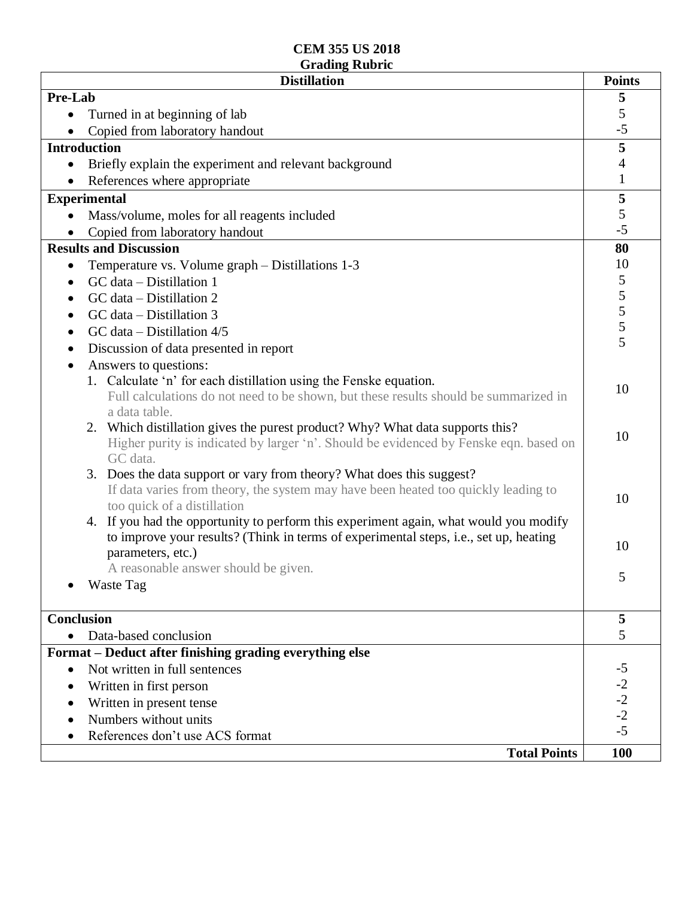| <b>Distillation</b>                                                                   | <b>Points</b>                              |
|---------------------------------------------------------------------------------------|--------------------------------------------|
| Pre-Lab                                                                               | 5                                          |
| Turned in at beginning of lab                                                         | 5                                          |
| Copied from laboratory handout                                                        | $-5$                                       |
| <b>Introduction</b>                                                                   | $\overline{\mathbf{5}}$                    |
| Briefly explain the experiment and relevant background<br>$\bullet$                   | 4                                          |
| References where appropriate                                                          | $\mathbf{1}$                               |
| <b>Experimental</b>                                                                   | 5                                          |
| Mass/volume, moles for all reagents included                                          | 5                                          |
| Copied from laboratory handout                                                        | $-5$                                       |
| <b>Results and Discussion</b>                                                         | 80                                         |
| Temperature vs. Volume graph – Distillations 1-3<br>٠                                 | 10                                         |
| GC data - Distillation 1                                                              | 5                                          |
| GC data - Distillation 2<br>$\bullet$                                                 | $\begin{array}{c} 5 \\ 5 \\ 5 \end{array}$ |
| GC data - Distillation 3<br>$\bullet$                                                 |                                            |
| GC data $-$ Distillation 4/5<br>$\bullet$                                             |                                            |
| Discussion of data presented in report<br>$\bullet$                                   | 5                                          |
| Answers to questions:                                                                 |                                            |
| 1. Calculate 'n' for each distillation using the Fenske equation.                     |                                            |
| Full calculations do not need to be shown, but these results should be summarized in  | 10                                         |
| a data table.                                                                         |                                            |
| Which distillation gives the purest product? Why? What data supports this?<br>2.      | 10                                         |
| Higher purity is indicated by larger 'n'. Should be evidenced by Fenske eqn. based on |                                            |
| GC data.                                                                              |                                            |
| Does the data support or vary from theory? What does this suggest?<br>3.              |                                            |
| If data varies from theory, the system may have been heated too quickly leading to    | 10                                         |
| too quick of a distillation                                                           |                                            |
| 4. If you had the opportunity to perform this experiment again, what would you modify |                                            |
| to improve your results? (Think in terms of experimental steps, i.e., set up, heating | 10                                         |
| parameters, etc.)                                                                     |                                            |
| A reasonable answer should be given.                                                  | 5                                          |
| <b>Waste Tag</b>                                                                      |                                            |
|                                                                                       |                                            |
| <b>Conclusion</b><br>Data-based conclusion                                            | 5<br>5                                     |
|                                                                                       |                                            |
| Format - Deduct after finishing grading everything else                               |                                            |
| Not written in full sentences<br>$\bullet$                                            | $-5$                                       |
| Written in first person                                                               | $-2$<br>$-2$<br>$-2$                       |
| Written in present tense<br>$\bullet$                                                 |                                            |
| Numbers without units                                                                 | $-5$                                       |
| References don't use ACS format                                                       |                                            |
| <b>Total Points</b>                                                                   | <b>100</b>                                 |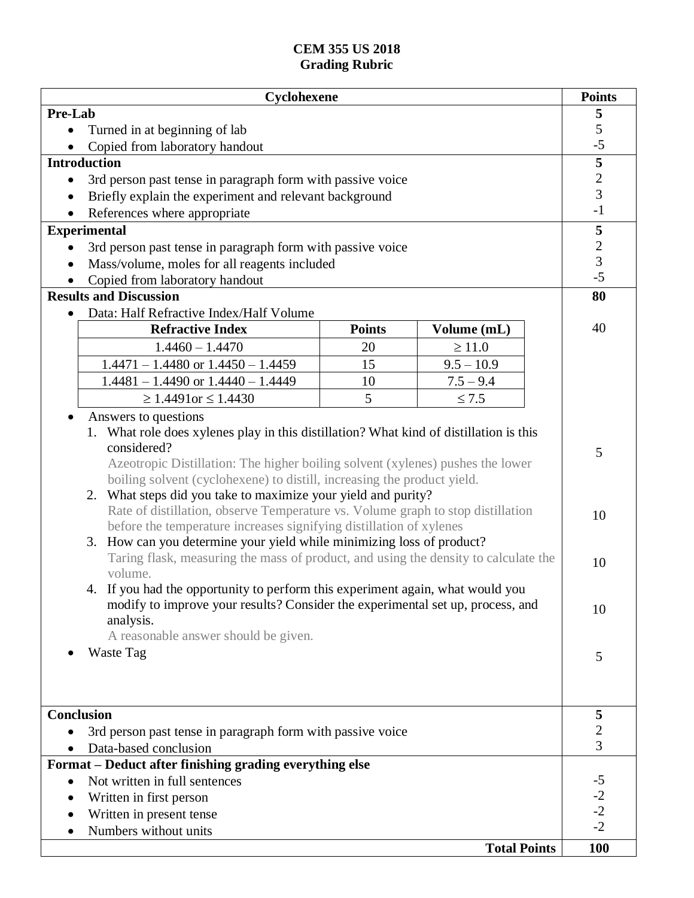|                                                                                     | Cyclohexene                                                                            |               |                     | <b>Points</b> |
|-------------------------------------------------------------------------------------|----------------------------------------------------------------------------------------|---------------|---------------------|---------------|
| Pre-Lab                                                                             |                                                                                        |               |                     | 5             |
|                                                                                     | Turned in at beginning of lab                                                          |               |                     | 5             |
|                                                                                     | Copied from laboratory handout                                                         |               |                     | $-5$          |
|                                                                                     | <b>Introduction</b>                                                                    |               |                     | 5             |
| 3rd person past tense in paragraph form with passive voice<br>$\bullet$             |                                                                                        | $\frac{2}{3}$ |                     |               |
|                                                                                     | Briefly explain the experiment and relevant background                                 |               |                     |               |
|                                                                                     | References where appropriate                                                           |               |                     | $-1$          |
|                                                                                     | <b>Experimental</b>                                                                    |               |                     | 5             |
| $\bullet$                                                                           | 3rd person past tense in paragraph form with passive voice                             |               |                     | $\frac{2}{3}$ |
|                                                                                     | Mass/volume, moles for all reagents included                                           |               |                     |               |
|                                                                                     | Copied from laboratory handout                                                         |               |                     | $-5$          |
|                                                                                     | <b>Results and Discussion</b>                                                          |               |                     | 80            |
|                                                                                     | Data: Half Refractive Index/Half Volume                                                |               |                     |               |
|                                                                                     | <b>Refractive Index</b>                                                                | <b>Points</b> | Volume (mL)         | 40            |
|                                                                                     | $1.4460 - 1.4470$                                                                      | 20            | $\geq 11.0$         |               |
|                                                                                     | $1.4471 - 1.4480$ or $1.4450 - 1.4459$                                                 | 15            | $9.5 - 10.9$        |               |
|                                                                                     | $1.4481 - 1.4490$ or $1.4440 - 1.4449$                                                 | 10            | $7.5 - 9.4$         |               |
|                                                                                     | $\geq 1.4491$ or $\leq 1.4430$                                                         | 5             | $\leq 7.5$          |               |
|                                                                                     | Answers to questions                                                                   |               |                     |               |
|                                                                                     | 1. What role does xylenes play in this distillation? What kind of distillation is this |               |                     |               |
|                                                                                     | considered?                                                                            |               |                     | 5             |
| Azeotropic Distillation: The higher boiling solvent (xylenes) pushes the lower      |                                                                                        |               |                     |               |
| boiling solvent (cyclohexene) to distill, increasing the product yield.             |                                                                                        |               |                     |               |
| What steps did you take to maximize your yield and purity?<br>2.                    |                                                                                        |               |                     |               |
|                                                                                     | Rate of distillation, observe Temperature vs. Volume graph to stop distillation        |               |                     | 10            |
| before the temperature increases signifying distillation of xylenes                 |                                                                                        |               |                     |               |
| 3. How can you determine your yield while minimizing loss of product?               |                                                                                        |               |                     |               |
| Taring flask, measuring the mass of product, and using the density to calculate the |                                                                                        |               | 10                  |               |
| volume.                                                                             |                                                                                        |               |                     |               |
| 4. If you had the opportunity to perform this experiment again, what would you      |                                                                                        |               |                     |               |
| modify to improve your results? Consider the experimental set up, process, and      |                                                                                        |               | 10                  |               |
| analysis.                                                                           |                                                                                        |               |                     |               |
| A reasonable answer should be given.                                                |                                                                                        |               |                     |               |
|                                                                                     | Waste Tag                                                                              |               |                     | 5             |
|                                                                                     |                                                                                        |               |                     |               |
|                                                                                     |                                                                                        |               |                     |               |
|                                                                                     |                                                                                        |               |                     |               |
| Conclusion                                                                          |                                                                                        | 5             |                     |               |
| 3rd person past tense in paragraph form with passive voice<br>Data-based conclusion |                                                                                        | $\frac{2}{3}$ |                     |               |
|                                                                                     |                                                                                        |               |                     |               |
| Format - Deduct after finishing grading everything else                             |                                                                                        |               |                     |               |
|                                                                                     | Not written in full sentences                                                          |               |                     | $-5$<br>$-2$  |
| ٠                                                                                   | Written in first person                                                                |               |                     | $-2$          |
|                                                                                     | Written in present tense                                                               |               |                     | $-2$          |
|                                                                                     | Numbers without units                                                                  |               |                     |               |
|                                                                                     |                                                                                        |               | <b>Total Points</b> | 100           |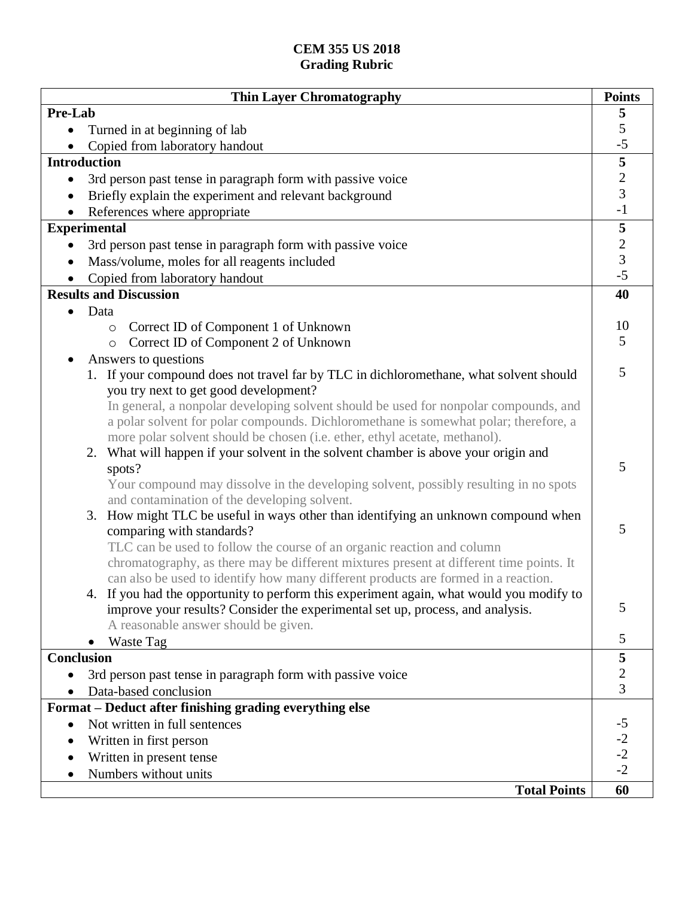| <b>Thin Layer Chromatography</b>                                                                                                   | <b>Points</b>           |
|------------------------------------------------------------------------------------------------------------------------------------|-------------------------|
| Pre-Lab                                                                                                                            | 5                       |
| Turned in at beginning of lab                                                                                                      | $\sqrt{5}$              |
| Copied from laboratory handout                                                                                                     | $-5$                    |
| <b>Introduction</b>                                                                                                                | $\overline{\mathbf{5}}$ |
| 3rd person past tense in paragraph form with passive voice<br>$\bullet$                                                            | $rac{2}{3}$             |
| Briefly explain the experiment and relevant background                                                                             |                         |
| References where appropriate                                                                                                       | $-1$                    |
| <b>Experimental</b>                                                                                                                | 5                       |
| 3rd person past tense in paragraph form with passive voice                                                                         | $\frac{2}{3}$           |
| Mass/volume, moles for all reagents included                                                                                       |                         |
| Copied from laboratory handout                                                                                                     | $-5$                    |
| <b>Results and Discussion</b>                                                                                                      | 40                      |
| Data                                                                                                                               |                         |
| Correct ID of Component 1 of Unknown<br>$\circ$                                                                                    | 10                      |
| Correct ID of Component 2 of Unknown<br>$\circ$                                                                                    | 5                       |
| Answers to questions                                                                                                               |                         |
| 1. If your compound does not travel far by TLC in dichloromethane, what solvent should                                             | 5                       |
| you try next to get good development?                                                                                              |                         |
| In general, a nonpolar developing solvent should be used for nonpolar compounds, and                                               |                         |
| a polar solvent for polar compounds. Dichloromethane is somewhat polar; therefore, a                                               |                         |
| more polar solvent should be chosen (i.e. ether, ethyl acetate, methanol).                                                         |                         |
| 2. What will happen if your solvent in the solvent chamber is above your origin and                                                | 5                       |
| spots?                                                                                                                             |                         |
| Your compound may dissolve in the developing solvent, possibly resulting in no spots                                               |                         |
| and contamination of the developing solvent.<br>3. How might TLC be useful in ways other than identifying an unknown compound when |                         |
| comparing with standards?                                                                                                          | 5                       |
| TLC can be used to follow the course of an organic reaction and column                                                             |                         |
| chromatography, as there may be different mixtures present at different time points. It                                            |                         |
| can also be used to identify how many different products are formed in a reaction.                                                 |                         |
| 4. If you had the opportunity to perform this experiment again, what would you modify to                                           |                         |
| improve your results? Consider the experimental set up, process, and analysis.                                                     | 5                       |
| A reasonable answer should be given.                                                                                               |                         |
| Waste Tag                                                                                                                          | 5                       |
| <b>Conclusion</b>                                                                                                                  | 5                       |
| 3rd person past tense in paragraph form with passive voice                                                                         | $\mathbf{2}$            |
| Data-based conclusion                                                                                                              | 3                       |
| Format - Deduct after finishing grading everything else                                                                            |                         |
| Not written in full sentences<br>$\bullet$                                                                                         | $-5$                    |
| Written in first person                                                                                                            | $-2$<br>$-2$            |
| Written in present tense                                                                                                           |                         |
| Numbers without units                                                                                                              | $-2$                    |
| <b>Total Points</b>                                                                                                                | 60                      |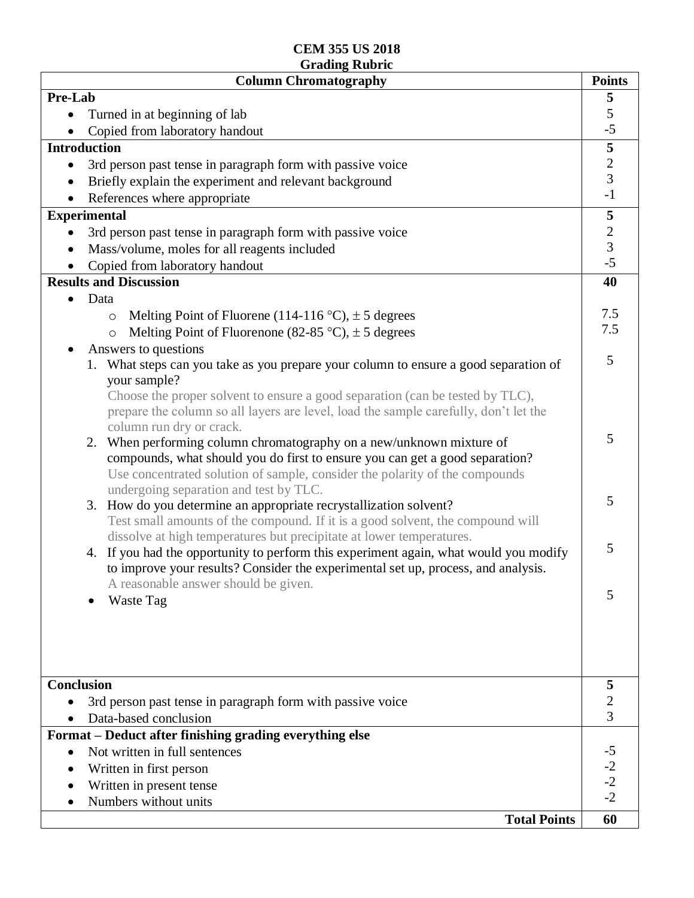| <b>Column Chromatography</b>                                                                                                                        | <b>Points</b>        |
|-----------------------------------------------------------------------------------------------------------------------------------------------------|----------------------|
| Pre-Lab                                                                                                                                             | 5                    |
| Turned in at beginning of lab                                                                                                                       | $\sqrt{5}$           |
| Copied from laboratory handout                                                                                                                      | $-5$                 |
| <b>Introduction</b>                                                                                                                                 | $\sqrt{5}$           |
| 3rd person past tense in paragraph form with passive voice<br>$\bullet$                                                                             | $\overline{c}$       |
| Briefly explain the experiment and relevant background                                                                                              | $\overline{3}$       |
| References where appropriate                                                                                                                        | $-1$                 |
| <b>Experimental</b>                                                                                                                                 | $\sqrt{5}$           |
| 3rd person past tense in paragraph form with passive voice                                                                                          |                      |
| Mass/volume, moles for all reagents included                                                                                                        | $\frac{2}{3}$<br>-5  |
| Copied from laboratory handout                                                                                                                      |                      |
| <b>Results and Discussion</b>                                                                                                                       | 40                   |
| Data                                                                                                                                                |                      |
| Melting Point of Fluorene (114-116 °C), $\pm$ 5 degrees<br>$\circ$                                                                                  | 7.5                  |
| Melting Point of Fluorenone (82-85 °C), $\pm$ 5 degrees<br>$\circ$                                                                                  | 7.5                  |
| Answers to questions                                                                                                                                |                      |
| 1. What steps can you take as you prepare your column to ensure a good separation of                                                                | 5                    |
| your sample?                                                                                                                                        |                      |
| Choose the proper solvent to ensure a good separation (can be tested by TLC),                                                                       |                      |
| prepare the column so all layers are level, load the sample carefully, don't let the                                                                |                      |
| column run dry or crack.                                                                                                                            | 5                    |
| When performing column chromatography on a new/unknown mixture of<br>2.                                                                             |                      |
| compounds, what should you do first to ensure you can get a good separation?                                                                        |                      |
| Use concentrated solution of sample, consider the polarity of the compounds                                                                         |                      |
| undergoing separation and test by TLC.                                                                                                              | 5                    |
| 3. How do you determine an appropriate recrystallization solvent?<br>Test small amounts of the compound. If it is a good solvent, the compound will |                      |
| dissolve at high temperatures but precipitate at lower temperatures.                                                                                |                      |
| If you had the opportunity to perform this experiment again, what would you modify<br>4.                                                            | 5                    |
| to improve your results? Consider the experimental set up, process, and analysis.                                                                   |                      |
| A reasonable answer should be given.                                                                                                                |                      |
| Waste Tag                                                                                                                                           | 5                    |
|                                                                                                                                                     |                      |
|                                                                                                                                                     |                      |
|                                                                                                                                                     |                      |
|                                                                                                                                                     |                      |
| <b>Conclusion</b>                                                                                                                                   | 5                    |
| 3rd person past tense in paragraph form with passive voice                                                                                          | 2                    |
| Data-based conclusion                                                                                                                               | 3                    |
| Format – Deduct after finishing grading everything else                                                                                             |                      |
| Not written in full sentences                                                                                                                       |                      |
|                                                                                                                                                     |                      |
| Written in first person<br>Written in present tense                                                                                                 |                      |
| Numbers without units                                                                                                                               | $-2$<br>$-2$<br>$-2$ |
|                                                                                                                                                     |                      |
| <b>Total Points</b>                                                                                                                                 | 60                   |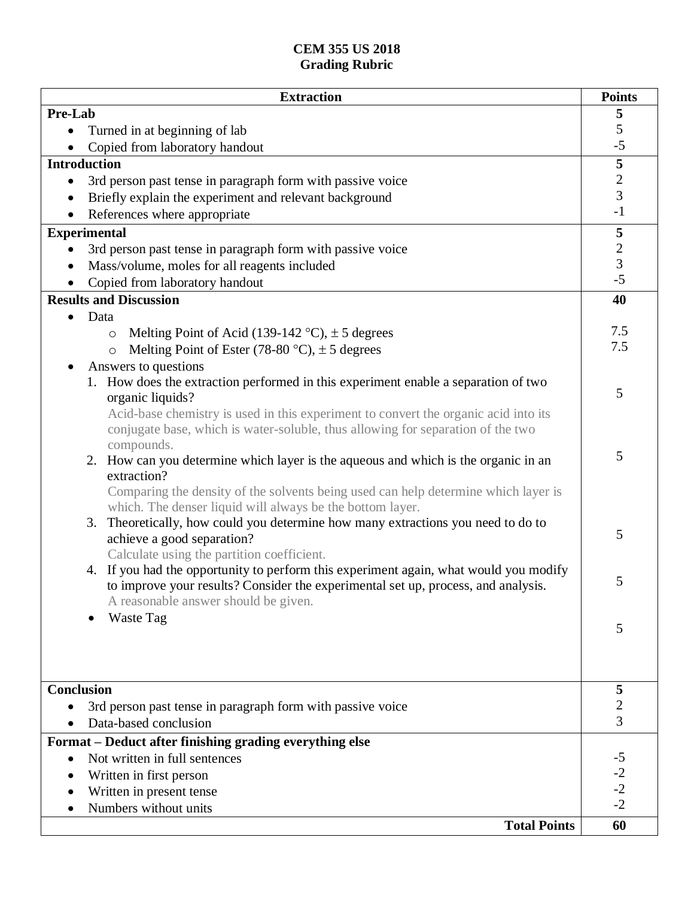| <b>Extraction</b>                                                                                                                               | <b>Points</b>           |
|-------------------------------------------------------------------------------------------------------------------------------------------------|-------------------------|
| Pre-Lab                                                                                                                                         | $\overline{\mathbf{5}}$ |
| Turned in at beginning of lab                                                                                                                   | 5                       |
| Copied from laboratory handout                                                                                                                  | $-5$                    |
| <b>Introduction</b>                                                                                                                             | $\overline{\mathbf{5}}$ |
| 3rd person past tense in paragraph form with passive voice                                                                                      | $\frac{2}{3}$           |
| Briefly explain the experiment and relevant background                                                                                          |                         |
| References where appropriate                                                                                                                    | $-1$                    |
| <b>Experimental</b>                                                                                                                             | 5                       |
| 3rd person past tense in paragraph form with passive voice                                                                                      | $\frac{2}{3}$           |
| Mass/volume, moles for all reagents included                                                                                                    |                         |
| Copied from laboratory handout                                                                                                                  | $-5$                    |
| <b>Results and Discussion</b>                                                                                                                   | 40                      |
| Data                                                                                                                                            |                         |
| Melting Point of Acid (139-142 °C), $\pm$ 5 degrees<br>$\circ$                                                                                  | 7.5                     |
| Melting Point of Ester (78-80 °C), $\pm$ 5 degrees<br>$\circ$                                                                                   | 7.5                     |
| Answers to questions                                                                                                                            |                         |
| 1. How does the extraction performed in this experiment enable a separation of two                                                              |                         |
| organic liquids?                                                                                                                                | 5                       |
| Acid-base chemistry is used in this experiment to convert the organic acid into its                                                             |                         |
| conjugate base, which is water-soluble, thus allowing for separation of the two                                                                 |                         |
| compounds.                                                                                                                                      | 5                       |
| 2. How can you determine which layer is the aqueous and which is the organic in an                                                              |                         |
| extraction?                                                                                                                                     |                         |
| Comparing the density of the solvents being used can help determine which layer is<br>which. The denser liquid will always be the bottom layer. |                         |
| Theoretically, how could you determine how many extractions you need to do to<br>3.                                                             |                         |
| achieve a good separation?                                                                                                                      | 5                       |
| Calculate using the partition coefficient.                                                                                                      |                         |
| 4. If you had the opportunity to perform this experiment again, what would you modify                                                           |                         |
| to improve your results? Consider the experimental set up, process, and analysis.                                                               | 5                       |
| A reasonable answer should be given.                                                                                                            |                         |
| Waste Tag                                                                                                                                       |                         |
|                                                                                                                                                 | 5                       |
|                                                                                                                                                 |                         |
|                                                                                                                                                 |                         |
| <b>Conclusion</b>                                                                                                                               | 5                       |
| 3rd person past tense in paragraph form with passive voice                                                                                      | $\overline{c}$          |
| Data-based conclusion                                                                                                                           | 3                       |
| Format – Deduct after finishing grading everything else                                                                                         |                         |
| Not written in full sentences                                                                                                                   | $-5$                    |
| Written in first person                                                                                                                         |                         |
| Written in present tense                                                                                                                        | $-2$<br>$-2$            |
| Numbers without units                                                                                                                           | $-2$                    |
| <b>Total Points</b>                                                                                                                             | 60                      |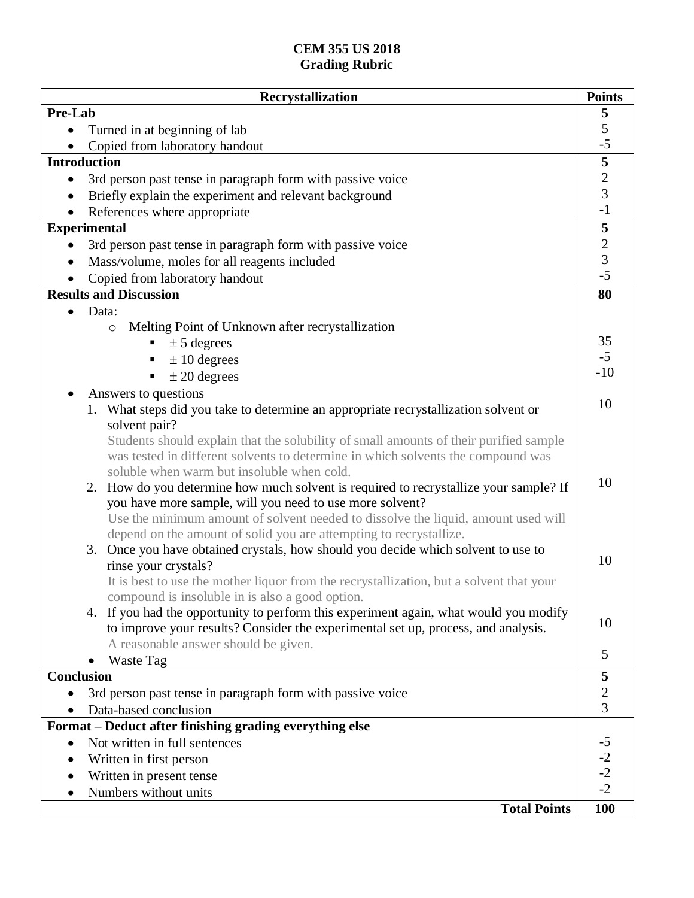| Pre-Lab<br>5<br>5<br>Turned in at beginning of lab<br>$-5$<br>Copied from laboratory handout<br>$\overline{\mathbf{5}}$<br><b>Introduction</b><br>$\overline{2}$<br>3rd person past tense in paragraph form with passive voice<br>$\bullet$<br>3<br>Briefly explain the experiment and relevant background<br>$-1$<br>References where appropriate<br><b>Experimental</b><br>$\overline{\mathbf{5}}$<br>$\frac{2}{3}$<br>3rd person past tense in paragraph form with passive voice<br>$\bullet$<br>Mass/volume, moles for all reagents included<br>$-5$<br>Copied from laboratory handout<br><b>Results and Discussion</b><br>80<br>Data:<br>Melting Point of Unknown after recrystallization<br>$\circ$<br>35<br>$\pm$ 5 degrees<br>$-5$<br>$\pm 10$ degrees<br>$-10$<br>$\pm 20$ degrees<br>Answers to questions<br>10<br>1. What steps did you take to determine an appropriate recrystallization solvent or<br>solvent pair?<br>Students should explain that the solubility of small amounts of their purified sample<br>was tested in different solvents to determine in which solvents the compound was<br>soluble when warm but insoluble when cold.<br>10<br>How do you determine how much solvent is required to recrystallize your sample? If<br>2.<br>you have more sample, will you need to use more solvent?<br>Use the minimum amount of solvent needed to dissolve the liquid, amount used will<br>depend on the amount of solid you are attempting to recrystallize.<br>Once you have obtained crystals, how should you decide which solvent to use to<br>3.<br>10<br>rinse your crystals?<br>It is best to use the mother liquor from the recrystallization, but a solvent that your<br>compound is insoluble in is also a good option.<br>4. If you had the opportunity to perform this experiment again, what would you modify<br>10<br>to improve your results? Consider the experimental set up, process, and analysis.<br>A reasonable answer should be given.<br>5<br>Waste Tag<br><b>Conclusion</b><br>5<br>$\overline{2}$<br>3rd person past tense in paragraph form with passive voice<br>$\overline{3}$<br>Data-based conclusion |
|--------------------------------------------------------------------------------------------------------------------------------------------------------------------------------------------------------------------------------------------------------------------------------------------------------------------------------------------------------------------------------------------------------------------------------------------------------------------------------------------------------------------------------------------------------------------------------------------------------------------------------------------------------------------------------------------------------------------------------------------------------------------------------------------------------------------------------------------------------------------------------------------------------------------------------------------------------------------------------------------------------------------------------------------------------------------------------------------------------------------------------------------------------------------------------------------------------------------------------------------------------------------------------------------------------------------------------------------------------------------------------------------------------------------------------------------------------------------------------------------------------------------------------------------------------------------------------------------------------------------------------------------------------------------------------------------------------------------------------------------------------------------------------------------------------------------------------------------------------------------------------------------------------------------------------------------------------------------------------------------------------------------------------------------------------------------------------------------------------------------------------------------------------------|
|                                                                                                                                                                                                                                                                                                                                                                                                                                                                                                                                                                                                                                                                                                                                                                                                                                                                                                                                                                                                                                                                                                                                                                                                                                                                                                                                                                                                                                                                                                                                                                                                                                                                                                                                                                                                                                                                                                                                                                                                                                                                                                                                                              |
|                                                                                                                                                                                                                                                                                                                                                                                                                                                                                                                                                                                                                                                                                                                                                                                                                                                                                                                                                                                                                                                                                                                                                                                                                                                                                                                                                                                                                                                                                                                                                                                                                                                                                                                                                                                                                                                                                                                                                                                                                                                                                                                                                              |
|                                                                                                                                                                                                                                                                                                                                                                                                                                                                                                                                                                                                                                                                                                                                                                                                                                                                                                                                                                                                                                                                                                                                                                                                                                                                                                                                                                                                                                                                                                                                                                                                                                                                                                                                                                                                                                                                                                                                                                                                                                                                                                                                                              |
|                                                                                                                                                                                                                                                                                                                                                                                                                                                                                                                                                                                                                                                                                                                                                                                                                                                                                                                                                                                                                                                                                                                                                                                                                                                                                                                                                                                                                                                                                                                                                                                                                                                                                                                                                                                                                                                                                                                                                                                                                                                                                                                                                              |
|                                                                                                                                                                                                                                                                                                                                                                                                                                                                                                                                                                                                                                                                                                                                                                                                                                                                                                                                                                                                                                                                                                                                                                                                                                                                                                                                                                                                                                                                                                                                                                                                                                                                                                                                                                                                                                                                                                                                                                                                                                                                                                                                                              |
|                                                                                                                                                                                                                                                                                                                                                                                                                                                                                                                                                                                                                                                                                                                                                                                                                                                                                                                                                                                                                                                                                                                                                                                                                                                                                                                                                                                                                                                                                                                                                                                                                                                                                                                                                                                                                                                                                                                                                                                                                                                                                                                                                              |
|                                                                                                                                                                                                                                                                                                                                                                                                                                                                                                                                                                                                                                                                                                                                                                                                                                                                                                                                                                                                                                                                                                                                                                                                                                                                                                                                                                                                                                                                                                                                                                                                                                                                                                                                                                                                                                                                                                                                                                                                                                                                                                                                                              |
|                                                                                                                                                                                                                                                                                                                                                                                                                                                                                                                                                                                                                                                                                                                                                                                                                                                                                                                                                                                                                                                                                                                                                                                                                                                                                                                                                                                                                                                                                                                                                                                                                                                                                                                                                                                                                                                                                                                                                                                                                                                                                                                                                              |
|                                                                                                                                                                                                                                                                                                                                                                                                                                                                                                                                                                                                                                                                                                                                                                                                                                                                                                                                                                                                                                                                                                                                                                                                                                                                                                                                                                                                                                                                                                                                                                                                                                                                                                                                                                                                                                                                                                                                                                                                                                                                                                                                                              |
|                                                                                                                                                                                                                                                                                                                                                                                                                                                                                                                                                                                                                                                                                                                                                                                                                                                                                                                                                                                                                                                                                                                                                                                                                                                                                                                                                                                                                                                                                                                                                                                                                                                                                                                                                                                                                                                                                                                                                                                                                                                                                                                                                              |
|                                                                                                                                                                                                                                                                                                                                                                                                                                                                                                                                                                                                                                                                                                                                                                                                                                                                                                                                                                                                                                                                                                                                                                                                                                                                                                                                                                                                                                                                                                                                                                                                                                                                                                                                                                                                                                                                                                                                                                                                                                                                                                                                                              |
|                                                                                                                                                                                                                                                                                                                                                                                                                                                                                                                                                                                                                                                                                                                                                                                                                                                                                                                                                                                                                                                                                                                                                                                                                                                                                                                                                                                                                                                                                                                                                                                                                                                                                                                                                                                                                                                                                                                                                                                                                                                                                                                                                              |
|                                                                                                                                                                                                                                                                                                                                                                                                                                                                                                                                                                                                                                                                                                                                                                                                                                                                                                                                                                                                                                                                                                                                                                                                                                                                                                                                                                                                                                                                                                                                                                                                                                                                                                                                                                                                                                                                                                                                                                                                                                                                                                                                                              |
|                                                                                                                                                                                                                                                                                                                                                                                                                                                                                                                                                                                                                                                                                                                                                                                                                                                                                                                                                                                                                                                                                                                                                                                                                                                                                                                                                                                                                                                                                                                                                                                                                                                                                                                                                                                                                                                                                                                                                                                                                                                                                                                                                              |
|                                                                                                                                                                                                                                                                                                                                                                                                                                                                                                                                                                                                                                                                                                                                                                                                                                                                                                                                                                                                                                                                                                                                                                                                                                                                                                                                                                                                                                                                                                                                                                                                                                                                                                                                                                                                                                                                                                                                                                                                                                                                                                                                                              |
|                                                                                                                                                                                                                                                                                                                                                                                                                                                                                                                                                                                                                                                                                                                                                                                                                                                                                                                                                                                                                                                                                                                                                                                                                                                                                                                                                                                                                                                                                                                                                                                                                                                                                                                                                                                                                                                                                                                                                                                                                                                                                                                                                              |
|                                                                                                                                                                                                                                                                                                                                                                                                                                                                                                                                                                                                                                                                                                                                                                                                                                                                                                                                                                                                                                                                                                                                                                                                                                                                                                                                                                                                                                                                                                                                                                                                                                                                                                                                                                                                                                                                                                                                                                                                                                                                                                                                                              |
|                                                                                                                                                                                                                                                                                                                                                                                                                                                                                                                                                                                                                                                                                                                                                                                                                                                                                                                                                                                                                                                                                                                                                                                                                                                                                                                                                                                                                                                                                                                                                                                                                                                                                                                                                                                                                                                                                                                                                                                                                                                                                                                                                              |
|                                                                                                                                                                                                                                                                                                                                                                                                                                                                                                                                                                                                                                                                                                                                                                                                                                                                                                                                                                                                                                                                                                                                                                                                                                                                                                                                                                                                                                                                                                                                                                                                                                                                                                                                                                                                                                                                                                                                                                                                                                                                                                                                                              |
|                                                                                                                                                                                                                                                                                                                                                                                                                                                                                                                                                                                                                                                                                                                                                                                                                                                                                                                                                                                                                                                                                                                                                                                                                                                                                                                                                                                                                                                                                                                                                                                                                                                                                                                                                                                                                                                                                                                                                                                                                                                                                                                                                              |
|                                                                                                                                                                                                                                                                                                                                                                                                                                                                                                                                                                                                                                                                                                                                                                                                                                                                                                                                                                                                                                                                                                                                                                                                                                                                                                                                                                                                                                                                                                                                                                                                                                                                                                                                                                                                                                                                                                                                                                                                                                                                                                                                                              |
|                                                                                                                                                                                                                                                                                                                                                                                                                                                                                                                                                                                                                                                                                                                                                                                                                                                                                                                                                                                                                                                                                                                                                                                                                                                                                                                                                                                                                                                                                                                                                                                                                                                                                                                                                                                                                                                                                                                                                                                                                                                                                                                                                              |
|                                                                                                                                                                                                                                                                                                                                                                                                                                                                                                                                                                                                                                                                                                                                                                                                                                                                                                                                                                                                                                                                                                                                                                                                                                                                                                                                                                                                                                                                                                                                                                                                                                                                                                                                                                                                                                                                                                                                                                                                                                                                                                                                                              |
|                                                                                                                                                                                                                                                                                                                                                                                                                                                                                                                                                                                                                                                                                                                                                                                                                                                                                                                                                                                                                                                                                                                                                                                                                                                                                                                                                                                                                                                                                                                                                                                                                                                                                                                                                                                                                                                                                                                                                                                                                                                                                                                                                              |
|                                                                                                                                                                                                                                                                                                                                                                                                                                                                                                                                                                                                                                                                                                                                                                                                                                                                                                                                                                                                                                                                                                                                                                                                                                                                                                                                                                                                                                                                                                                                                                                                                                                                                                                                                                                                                                                                                                                                                                                                                                                                                                                                                              |
|                                                                                                                                                                                                                                                                                                                                                                                                                                                                                                                                                                                                                                                                                                                                                                                                                                                                                                                                                                                                                                                                                                                                                                                                                                                                                                                                                                                                                                                                                                                                                                                                                                                                                                                                                                                                                                                                                                                                                                                                                                                                                                                                                              |
|                                                                                                                                                                                                                                                                                                                                                                                                                                                                                                                                                                                                                                                                                                                                                                                                                                                                                                                                                                                                                                                                                                                                                                                                                                                                                                                                                                                                                                                                                                                                                                                                                                                                                                                                                                                                                                                                                                                                                                                                                                                                                                                                                              |
|                                                                                                                                                                                                                                                                                                                                                                                                                                                                                                                                                                                                                                                                                                                                                                                                                                                                                                                                                                                                                                                                                                                                                                                                                                                                                                                                                                                                                                                                                                                                                                                                                                                                                                                                                                                                                                                                                                                                                                                                                                                                                                                                                              |
|                                                                                                                                                                                                                                                                                                                                                                                                                                                                                                                                                                                                                                                                                                                                                                                                                                                                                                                                                                                                                                                                                                                                                                                                                                                                                                                                                                                                                                                                                                                                                                                                                                                                                                                                                                                                                                                                                                                                                                                                                                                                                                                                                              |
|                                                                                                                                                                                                                                                                                                                                                                                                                                                                                                                                                                                                                                                                                                                                                                                                                                                                                                                                                                                                                                                                                                                                                                                                                                                                                                                                                                                                                                                                                                                                                                                                                                                                                                                                                                                                                                                                                                                                                                                                                                                                                                                                                              |
|                                                                                                                                                                                                                                                                                                                                                                                                                                                                                                                                                                                                                                                                                                                                                                                                                                                                                                                                                                                                                                                                                                                                                                                                                                                                                                                                                                                                                                                                                                                                                                                                                                                                                                                                                                                                                                                                                                                                                                                                                                                                                                                                                              |
|                                                                                                                                                                                                                                                                                                                                                                                                                                                                                                                                                                                                                                                                                                                                                                                                                                                                                                                                                                                                                                                                                                                                                                                                                                                                                                                                                                                                                                                                                                                                                                                                                                                                                                                                                                                                                                                                                                                                                                                                                                                                                                                                                              |
|                                                                                                                                                                                                                                                                                                                                                                                                                                                                                                                                                                                                                                                                                                                                                                                                                                                                                                                                                                                                                                                                                                                                                                                                                                                                                                                                                                                                                                                                                                                                                                                                                                                                                                                                                                                                                                                                                                                                                                                                                                                                                                                                                              |
|                                                                                                                                                                                                                                                                                                                                                                                                                                                                                                                                                                                                                                                                                                                                                                                                                                                                                                                                                                                                                                                                                                                                                                                                                                                                                                                                                                                                                                                                                                                                                                                                                                                                                                                                                                                                                                                                                                                                                                                                                                                                                                                                                              |
|                                                                                                                                                                                                                                                                                                                                                                                                                                                                                                                                                                                                                                                                                                                                                                                                                                                                                                                                                                                                                                                                                                                                                                                                                                                                                                                                                                                                                                                                                                                                                                                                                                                                                                                                                                                                                                                                                                                                                                                                                                                                                                                                                              |
|                                                                                                                                                                                                                                                                                                                                                                                                                                                                                                                                                                                                                                                                                                                                                                                                                                                                                                                                                                                                                                                                                                                                                                                                                                                                                                                                                                                                                                                                                                                                                                                                                                                                                                                                                                                                                                                                                                                                                                                                                                                                                                                                                              |
|                                                                                                                                                                                                                                                                                                                                                                                                                                                                                                                                                                                                                                                                                                                                                                                                                                                                                                                                                                                                                                                                                                                                                                                                                                                                                                                                                                                                                                                                                                                                                                                                                                                                                                                                                                                                                                                                                                                                                                                                                                                                                                                                                              |
| Format - Deduct after finishing grading everything else                                                                                                                                                                                                                                                                                                                                                                                                                                                                                                                                                                                                                                                                                                                                                                                                                                                                                                                                                                                                                                                                                                                                                                                                                                                                                                                                                                                                                                                                                                                                                                                                                                                                                                                                                                                                                                                                                                                                                                                                                                                                                                      |
| Not written in full sentences                                                                                                                                                                                                                                                                                                                                                                                                                                                                                                                                                                                                                                                                                                                                                                                                                                                                                                                                                                                                                                                                                                                                                                                                                                                                                                                                                                                                                                                                                                                                                                                                                                                                                                                                                                                                                                                                                                                                                                                                                                                                                                                                |
| Written in first person                                                                                                                                                                                                                                                                                                                                                                                                                                                                                                                                                                                                                                                                                                                                                                                                                                                                                                                                                                                                                                                                                                                                                                                                                                                                                                                                                                                                                                                                                                                                                                                                                                                                                                                                                                                                                                                                                                                                                                                                                                                                                                                                      |
| Written in present tense                                                                                                                                                                                                                                                                                                                                                                                                                                                                                                                                                                                                                                                                                                                                                                                                                                                                                                                                                                                                                                                                                                                                                                                                                                                                                                                                                                                                                                                                                                                                                                                                                                                                                                                                                                                                                                                                                                                                                                                                                                                                                                                                     |
| $-2$<br>$-2$<br>$-2$<br>Numbers without units                                                                                                                                                                                                                                                                                                                                                                                                                                                                                                                                                                                                                                                                                                                                                                                                                                                                                                                                                                                                                                                                                                                                                                                                                                                                                                                                                                                                                                                                                                                                                                                                                                                                                                                                                                                                                                                                                                                                                                                                                                                                                                                |
| 100<br><b>Total Points</b>                                                                                                                                                                                                                                                                                                                                                                                                                                                                                                                                                                                                                                                                                                                                                                                                                                                                                                                                                                                                                                                                                                                                                                                                                                                                                                                                                                                                                                                                                                                                                                                                                                                                                                                                                                                                                                                                                                                                                                                                                                                                                                                                   |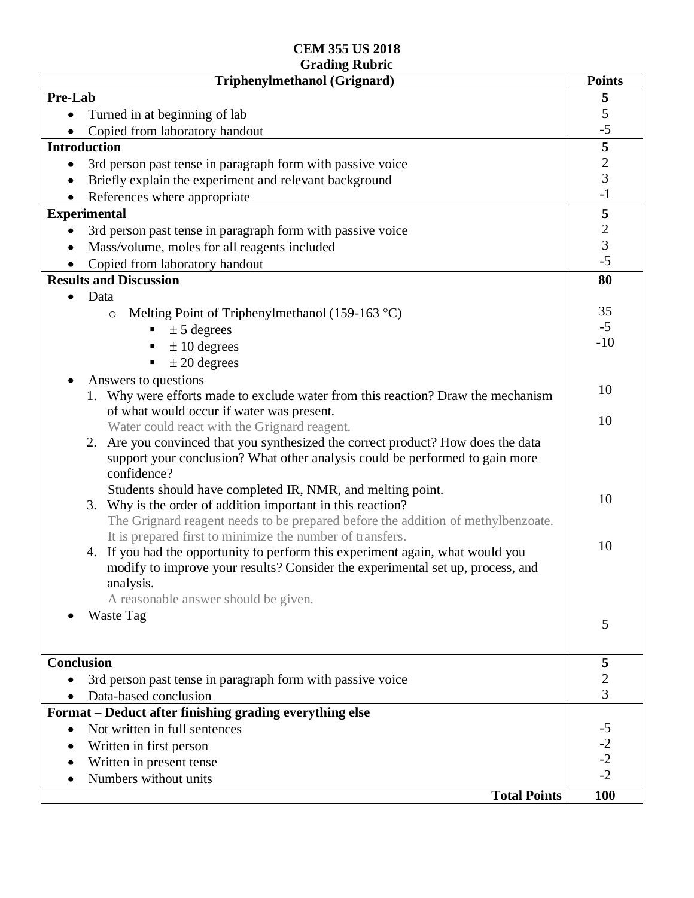| Pre-Lab<br>5<br>5<br>Turned in at beginning of lab<br>$-5$<br>Copied from laboratory handout<br>$\frac{5}{2}$<br><b>Introduction</b><br>3rd person past tense in paragraph form with passive voice<br>$\bullet$<br>Briefly explain the experiment and relevant background<br>$-1$<br>References where appropriate<br>$\overline{\mathbf{5}}$<br><b>Experimental</b><br>$\frac{2}{3}$<br>3rd person past tense in paragraph form with passive voice<br>Mass/volume, moles for all reagents included |
|----------------------------------------------------------------------------------------------------------------------------------------------------------------------------------------------------------------------------------------------------------------------------------------------------------------------------------------------------------------------------------------------------------------------------------------------------------------------------------------------------|
|                                                                                                                                                                                                                                                                                                                                                                                                                                                                                                    |
|                                                                                                                                                                                                                                                                                                                                                                                                                                                                                                    |
|                                                                                                                                                                                                                                                                                                                                                                                                                                                                                                    |
|                                                                                                                                                                                                                                                                                                                                                                                                                                                                                                    |
|                                                                                                                                                                                                                                                                                                                                                                                                                                                                                                    |
|                                                                                                                                                                                                                                                                                                                                                                                                                                                                                                    |
|                                                                                                                                                                                                                                                                                                                                                                                                                                                                                                    |
|                                                                                                                                                                                                                                                                                                                                                                                                                                                                                                    |
|                                                                                                                                                                                                                                                                                                                                                                                                                                                                                                    |
|                                                                                                                                                                                                                                                                                                                                                                                                                                                                                                    |
| $-5$<br>Copied from laboratory handout                                                                                                                                                                                                                                                                                                                                                                                                                                                             |
| <b>Results and Discussion</b><br>80                                                                                                                                                                                                                                                                                                                                                                                                                                                                |
| Data                                                                                                                                                                                                                                                                                                                                                                                                                                                                                               |
| 35<br>Melting Point of Triphenylmethanol (159-163 °C)<br>$\circ$                                                                                                                                                                                                                                                                                                                                                                                                                                   |
| $-5$<br>$\pm$ 5 degrees                                                                                                                                                                                                                                                                                                                                                                                                                                                                            |
| $-10$<br>$\pm 10$ degrees                                                                                                                                                                                                                                                                                                                                                                                                                                                                          |
| $\pm 20$ degrees                                                                                                                                                                                                                                                                                                                                                                                                                                                                                   |
| Answers to questions                                                                                                                                                                                                                                                                                                                                                                                                                                                                               |
| 10<br>1. Why were efforts made to exclude water from this reaction? Draw the mechanism                                                                                                                                                                                                                                                                                                                                                                                                             |
| of what would occur if water was present.<br>10                                                                                                                                                                                                                                                                                                                                                                                                                                                    |
| Water could react with the Grignard reagent.                                                                                                                                                                                                                                                                                                                                                                                                                                                       |
| 2. Are you convinced that you synthesized the correct product? How does the data                                                                                                                                                                                                                                                                                                                                                                                                                   |
| support your conclusion? What other analysis could be performed to gain more                                                                                                                                                                                                                                                                                                                                                                                                                       |
| confidence?                                                                                                                                                                                                                                                                                                                                                                                                                                                                                        |
| Students should have completed IR, NMR, and melting point.<br>10                                                                                                                                                                                                                                                                                                                                                                                                                                   |
| 3. Why is the order of addition important in this reaction?                                                                                                                                                                                                                                                                                                                                                                                                                                        |
| The Grignard reagent needs to be prepared before the addition of methylbenzoate.                                                                                                                                                                                                                                                                                                                                                                                                                   |
| It is prepared first to minimize the number of transfers.<br>10                                                                                                                                                                                                                                                                                                                                                                                                                                    |
| If you had the opportunity to perform this experiment again, what would you<br>4.                                                                                                                                                                                                                                                                                                                                                                                                                  |
| modify to improve your results? Consider the experimental set up, process, and                                                                                                                                                                                                                                                                                                                                                                                                                     |
| analysis.                                                                                                                                                                                                                                                                                                                                                                                                                                                                                          |
| A reasonable answer should be given.                                                                                                                                                                                                                                                                                                                                                                                                                                                               |
| Waste Tag<br>5                                                                                                                                                                                                                                                                                                                                                                                                                                                                                     |
|                                                                                                                                                                                                                                                                                                                                                                                                                                                                                                    |
| <b>Conclusion</b><br>5                                                                                                                                                                                                                                                                                                                                                                                                                                                                             |
| $\overline{c}$<br>3rd person past tense in paragraph form with passive voice                                                                                                                                                                                                                                                                                                                                                                                                                       |
| 3<br>Data-based conclusion                                                                                                                                                                                                                                                                                                                                                                                                                                                                         |
| Format - Deduct after finishing grading everything else                                                                                                                                                                                                                                                                                                                                                                                                                                            |
| Not written in full sentences<br>$-5$                                                                                                                                                                                                                                                                                                                                                                                                                                                              |
| $-2$                                                                                                                                                                                                                                                                                                                                                                                                                                                                                               |
| Written in first person<br>$-2$<br>Written in present tense                                                                                                                                                                                                                                                                                                                                                                                                                                        |
| $-2$<br>Numbers without units                                                                                                                                                                                                                                                                                                                                                                                                                                                                      |
| <b>Total Points</b><br>100                                                                                                                                                                                                                                                                                                                                                                                                                                                                         |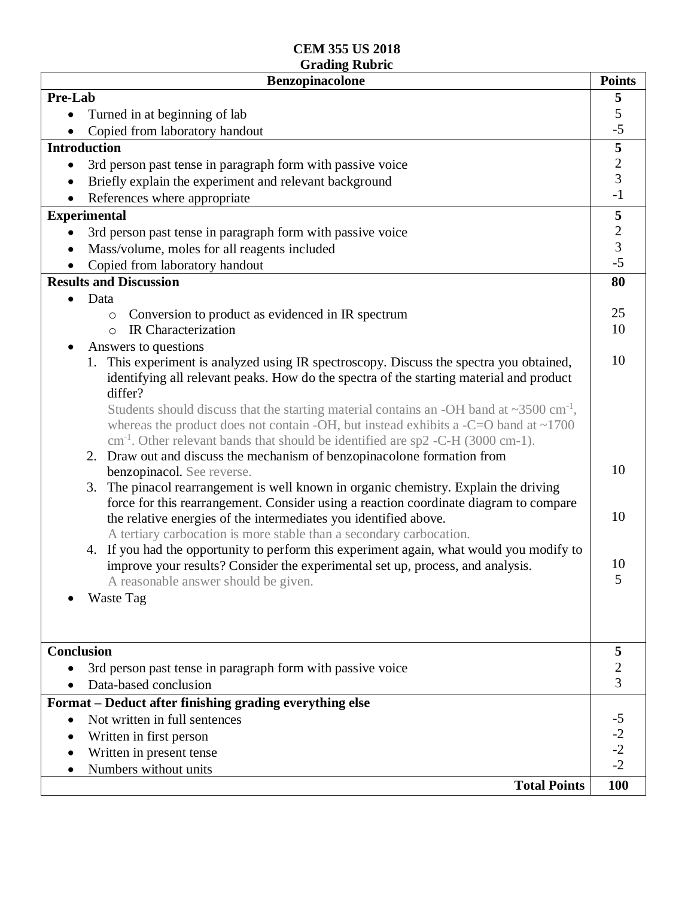| Pre-Lab<br>5<br>5<br>Turned in at beginning of lab<br>$-5$<br>Copied from laboratory handout<br>$\overline{\mathbf{5}}$<br><b>Introduction</b><br>$\overline{c}$<br>3rd person past tense in paragraph form with passive voice<br>$\bullet$<br>$\overline{3}$<br>Briefly explain the experiment and relevant background<br>$-1$<br>References where appropriate<br>${\bf 5}$<br><b>Experimental</b><br>$\frac{2}{3}$<br>3rd person past tense in paragraph form with passive voice<br>$\bullet$<br>Mass/volume, moles for all reagents included<br>$-5$<br>Copied from laboratory handout<br><b>Results and Discussion</b><br>80<br>Data<br>25<br>Conversion to product as evidenced in IR spectrum<br>$\circ$<br>10<br>IR Characterization<br>$\Omega$<br>Answers to questions<br>10<br>This experiment is analyzed using IR spectroscopy. Discuss the spectra you obtained,<br>1.<br>identifying all relevant peaks. How do the spectra of the starting material and product<br>differ?<br>Students should discuss that the starting material contains an -OH band at $\sim$ 3500 cm <sup>-1</sup> ,<br>whereas the product does not contain -OH, but instead exhibits a -C=O band at $\sim$ 1700<br>$cm-1$ . Other relevant bands that should be identified are sp2 -C-H (3000 cm-1).<br>2. Draw out and discuss the mechanism of benzopinacolone formation from<br>10<br>benzopinacol. See reverse.<br>3. The pinacol rearrangement is well known in organic chemistry. Explain the driving<br>force for this rearrangement. Consider using a reaction coordinate diagram to compare<br>10<br>the relative energies of the intermediates you identified above.<br>A tertiary carbocation is more stable than a secondary carbocation.<br>4. If you had the opportunity to perform this experiment again, what would you modify to<br>10<br>improve your results? Consider the experimental set up, process, and analysis.<br>5<br>A reasonable answer should be given.<br>Waste Tag<br><b>Conclusion</b><br>5<br>$\overline{\mathbf{c}}$<br>3rd person past tense in paragraph form with passive voice<br>3<br>Data-based conclusion<br>Format - Deduct after finishing grading everything else<br>Not written in full sentences<br>$-2$<br>Written in first person<br>$-2$<br>Written in present tense<br>$-2$<br>Numbers without units | <b>Benzopinacolone</b> | <b>Points</b> |
|----------------------------------------------------------------------------------------------------------------------------------------------------------------------------------------------------------------------------------------------------------------------------------------------------------------------------------------------------------------------------------------------------------------------------------------------------------------------------------------------------------------------------------------------------------------------------------------------------------------------------------------------------------------------------------------------------------------------------------------------------------------------------------------------------------------------------------------------------------------------------------------------------------------------------------------------------------------------------------------------------------------------------------------------------------------------------------------------------------------------------------------------------------------------------------------------------------------------------------------------------------------------------------------------------------------------------------------------------------------------------------------------------------------------------------------------------------------------------------------------------------------------------------------------------------------------------------------------------------------------------------------------------------------------------------------------------------------------------------------------------------------------------------------------------------------------------------------------------------------------------------------------------------------------------------------------------------------------------------------------------------------------------------------------------------------------------------------------------------------------------------------------------------------------------------------------------------------------------------------------------------------------------------------------------------------------------------------------|------------------------|---------------|
|                                                                                                                                                                                                                                                                                                                                                                                                                                                                                                                                                                                                                                                                                                                                                                                                                                                                                                                                                                                                                                                                                                                                                                                                                                                                                                                                                                                                                                                                                                                                                                                                                                                                                                                                                                                                                                                                                                                                                                                                                                                                                                                                                                                                                                                                                                                                              |                        |               |
|                                                                                                                                                                                                                                                                                                                                                                                                                                                                                                                                                                                                                                                                                                                                                                                                                                                                                                                                                                                                                                                                                                                                                                                                                                                                                                                                                                                                                                                                                                                                                                                                                                                                                                                                                                                                                                                                                                                                                                                                                                                                                                                                                                                                                                                                                                                                              |                        |               |
|                                                                                                                                                                                                                                                                                                                                                                                                                                                                                                                                                                                                                                                                                                                                                                                                                                                                                                                                                                                                                                                                                                                                                                                                                                                                                                                                                                                                                                                                                                                                                                                                                                                                                                                                                                                                                                                                                                                                                                                                                                                                                                                                                                                                                                                                                                                                              |                        |               |
|                                                                                                                                                                                                                                                                                                                                                                                                                                                                                                                                                                                                                                                                                                                                                                                                                                                                                                                                                                                                                                                                                                                                                                                                                                                                                                                                                                                                                                                                                                                                                                                                                                                                                                                                                                                                                                                                                                                                                                                                                                                                                                                                                                                                                                                                                                                                              |                        |               |
|                                                                                                                                                                                                                                                                                                                                                                                                                                                                                                                                                                                                                                                                                                                                                                                                                                                                                                                                                                                                                                                                                                                                                                                                                                                                                                                                                                                                                                                                                                                                                                                                                                                                                                                                                                                                                                                                                                                                                                                                                                                                                                                                                                                                                                                                                                                                              |                        |               |
|                                                                                                                                                                                                                                                                                                                                                                                                                                                                                                                                                                                                                                                                                                                                                                                                                                                                                                                                                                                                                                                                                                                                                                                                                                                                                                                                                                                                                                                                                                                                                                                                                                                                                                                                                                                                                                                                                                                                                                                                                                                                                                                                                                                                                                                                                                                                              |                        |               |
|                                                                                                                                                                                                                                                                                                                                                                                                                                                                                                                                                                                                                                                                                                                                                                                                                                                                                                                                                                                                                                                                                                                                                                                                                                                                                                                                                                                                                                                                                                                                                                                                                                                                                                                                                                                                                                                                                                                                                                                                                                                                                                                                                                                                                                                                                                                                              |                        |               |
|                                                                                                                                                                                                                                                                                                                                                                                                                                                                                                                                                                                                                                                                                                                                                                                                                                                                                                                                                                                                                                                                                                                                                                                                                                                                                                                                                                                                                                                                                                                                                                                                                                                                                                                                                                                                                                                                                                                                                                                                                                                                                                                                                                                                                                                                                                                                              |                        |               |
|                                                                                                                                                                                                                                                                                                                                                                                                                                                                                                                                                                                                                                                                                                                                                                                                                                                                                                                                                                                                                                                                                                                                                                                                                                                                                                                                                                                                                                                                                                                                                                                                                                                                                                                                                                                                                                                                                                                                                                                                                                                                                                                                                                                                                                                                                                                                              |                        |               |
|                                                                                                                                                                                                                                                                                                                                                                                                                                                                                                                                                                                                                                                                                                                                                                                                                                                                                                                                                                                                                                                                                                                                                                                                                                                                                                                                                                                                                                                                                                                                                                                                                                                                                                                                                                                                                                                                                                                                                                                                                                                                                                                                                                                                                                                                                                                                              |                        |               |
|                                                                                                                                                                                                                                                                                                                                                                                                                                                                                                                                                                                                                                                                                                                                                                                                                                                                                                                                                                                                                                                                                                                                                                                                                                                                                                                                                                                                                                                                                                                                                                                                                                                                                                                                                                                                                                                                                                                                                                                                                                                                                                                                                                                                                                                                                                                                              |                        |               |
|                                                                                                                                                                                                                                                                                                                                                                                                                                                                                                                                                                                                                                                                                                                                                                                                                                                                                                                                                                                                                                                                                                                                                                                                                                                                                                                                                                                                                                                                                                                                                                                                                                                                                                                                                                                                                                                                                                                                                                                                                                                                                                                                                                                                                                                                                                                                              |                        |               |
|                                                                                                                                                                                                                                                                                                                                                                                                                                                                                                                                                                                                                                                                                                                                                                                                                                                                                                                                                                                                                                                                                                                                                                                                                                                                                                                                                                                                                                                                                                                                                                                                                                                                                                                                                                                                                                                                                                                                                                                                                                                                                                                                                                                                                                                                                                                                              |                        |               |
|                                                                                                                                                                                                                                                                                                                                                                                                                                                                                                                                                                                                                                                                                                                                                                                                                                                                                                                                                                                                                                                                                                                                                                                                                                                                                                                                                                                                                                                                                                                                                                                                                                                                                                                                                                                                                                                                                                                                                                                                                                                                                                                                                                                                                                                                                                                                              |                        |               |
|                                                                                                                                                                                                                                                                                                                                                                                                                                                                                                                                                                                                                                                                                                                                                                                                                                                                                                                                                                                                                                                                                                                                                                                                                                                                                                                                                                                                                                                                                                                                                                                                                                                                                                                                                                                                                                                                                                                                                                                                                                                                                                                                                                                                                                                                                                                                              |                        |               |
|                                                                                                                                                                                                                                                                                                                                                                                                                                                                                                                                                                                                                                                                                                                                                                                                                                                                                                                                                                                                                                                                                                                                                                                                                                                                                                                                                                                                                                                                                                                                                                                                                                                                                                                                                                                                                                                                                                                                                                                                                                                                                                                                                                                                                                                                                                                                              |                        |               |
|                                                                                                                                                                                                                                                                                                                                                                                                                                                                                                                                                                                                                                                                                                                                                                                                                                                                                                                                                                                                                                                                                                                                                                                                                                                                                                                                                                                                                                                                                                                                                                                                                                                                                                                                                                                                                                                                                                                                                                                                                                                                                                                                                                                                                                                                                                                                              |                        |               |
|                                                                                                                                                                                                                                                                                                                                                                                                                                                                                                                                                                                                                                                                                                                                                                                                                                                                                                                                                                                                                                                                                                                                                                                                                                                                                                                                                                                                                                                                                                                                                                                                                                                                                                                                                                                                                                                                                                                                                                                                                                                                                                                                                                                                                                                                                                                                              |                        |               |
|                                                                                                                                                                                                                                                                                                                                                                                                                                                                                                                                                                                                                                                                                                                                                                                                                                                                                                                                                                                                                                                                                                                                                                                                                                                                                                                                                                                                                                                                                                                                                                                                                                                                                                                                                                                                                                                                                                                                                                                                                                                                                                                                                                                                                                                                                                                                              |                        |               |
|                                                                                                                                                                                                                                                                                                                                                                                                                                                                                                                                                                                                                                                                                                                                                                                                                                                                                                                                                                                                                                                                                                                                                                                                                                                                                                                                                                                                                                                                                                                                                                                                                                                                                                                                                                                                                                                                                                                                                                                                                                                                                                                                                                                                                                                                                                                                              |                        |               |
|                                                                                                                                                                                                                                                                                                                                                                                                                                                                                                                                                                                                                                                                                                                                                                                                                                                                                                                                                                                                                                                                                                                                                                                                                                                                                                                                                                                                                                                                                                                                                                                                                                                                                                                                                                                                                                                                                                                                                                                                                                                                                                                                                                                                                                                                                                                                              |                        |               |
|                                                                                                                                                                                                                                                                                                                                                                                                                                                                                                                                                                                                                                                                                                                                                                                                                                                                                                                                                                                                                                                                                                                                                                                                                                                                                                                                                                                                                                                                                                                                                                                                                                                                                                                                                                                                                                                                                                                                                                                                                                                                                                                                                                                                                                                                                                                                              |                        |               |
|                                                                                                                                                                                                                                                                                                                                                                                                                                                                                                                                                                                                                                                                                                                                                                                                                                                                                                                                                                                                                                                                                                                                                                                                                                                                                                                                                                                                                                                                                                                                                                                                                                                                                                                                                                                                                                                                                                                                                                                                                                                                                                                                                                                                                                                                                                                                              |                        |               |
|                                                                                                                                                                                                                                                                                                                                                                                                                                                                                                                                                                                                                                                                                                                                                                                                                                                                                                                                                                                                                                                                                                                                                                                                                                                                                                                                                                                                                                                                                                                                                                                                                                                                                                                                                                                                                                                                                                                                                                                                                                                                                                                                                                                                                                                                                                                                              |                        |               |
|                                                                                                                                                                                                                                                                                                                                                                                                                                                                                                                                                                                                                                                                                                                                                                                                                                                                                                                                                                                                                                                                                                                                                                                                                                                                                                                                                                                                                                                                                                                                                                                                                                                                                                                                                                                                                                                                                                                                                                                                                                                                                                                                                                                                                                                                                                                                              |                        |               |
|                                                                                                                                                                                                                                                                                                                                                                                                                                                                                                                                                                                                                                                                                                                                                                                                                                                                                                                                                                                                                                                                                                                                                                                                                                                                                                                                                                                                                                                                                                                                                                                                                                                                                                                                                                                                                                                                                                                                                                                                                                                                                                                                                                                                                                                                                                                                              |                        |               |
|                                                                                                                                                                                                                                                                                                                                                                                                                                                                                                                                                                                                                                                                                                                                                                                                                                                                                                                                                                                                                                                                                                                                                                                                                                                                                                                                                                                                                                                                                                                                                                                                                                                                                                                                                                                                                                                                                                                                                                                                                                                                                                                                                                                                                                                                                                                                              |                        |               |
|                                                                                                                                                                                                                                                                                                                                                                                                                                                                                                                                                                                                                                                                                                                                                                                                                                                                                                                                                                                                                                                                                                                                                                                                                                                                                                                                                                                                                                                                                                                                                                                                                                                                                                                                                                                                                                                                                                                                                                                                                                                                                                                                                                                                                                                                                                                                              |                        |               |
|                                                                                                                                                                                                                                                                                                                                                                                                                                                                                                                                                                                                                                                                                                                                                                                                                                                                                                                                                                                                                                                                                                                                                                                                                                                                                                                                                                                                                                                                                                                                                                                                                                                                                                                                                                                                                                                                                                                                                                                                                                                                                                                                                                                                                                                                                                                                              |                        |               |
|                                                                                                                                                                                                                                                                                                                                                                                                                                                                                                                                                                                                                                                                                                                                                                                                                                                                                                                                                                                                                                                                                                                                                                                                                                                                                                                                                                                                                                                                                                                                                                                                                                                                                                                                                                                                                                                                                                                                                                                                                                                                                                                                                                                                                                                                                                                                              |                        |               |
|                                                                                                                                                                                                                                                                                                                                                                                                                                                                                                                                                                                                                                                                                                                                                                                                                                                                                                                                                                                                                                                                                                                                                                                                                                                                                                                                                                                                                                                                                                                                                                                                                                                                                                                                                                                                                                                                                                                                                                                                                                                                                                                                                                                                                                                                                                                                              |                        |               |
|                                                                                                                                                                                                                                                                                                                                                                                                                                                                                                                                                                                                                                                                                                                                                                                                                                                                                                                                                                                                                                                                                                                                                                                                                                                                                                                                                                                                                                                                                                                                                                                                                                                                                                                                                                                                                                                                                                                                                                                                                                                                                                                                                                                                                                                                                                                                              |                        |               |
|                                                                                                                                                                                                                                                                                                                                                                                                                                                                                                                                                                                                                                                                                                                                                                                                                                                                                                                                                                                                                                                                                                                                                                                                                                                                                                                                                                                                                                                                                                                                                                                                                                                                                                                                                                                                                                                                                                                                                                                                                                                                                                                                                                                                                                                                                                                                              |                        |               |
|                                                                                                                                                                                                                                                                                                                                                                                                                                                                                                                                                                                                                                                                                                                                                                                                                                                                                                                                                                                                                                                                                                                                                                                                                                                                                                                                                                                                                                                                                                                                                                                                                                                                                                                                                                                                                                                                                                                                                                                                                                                                                                                                                                                                                                                                                                                                              |                        |               |
|                                                                                                                                                                                                                                                                                                                                                                                                                                                                                                                                                                                                                                                                                                                                                                                                                                                                                                                                                                                                                                                                                                                                                                                                                                                                                                                                                                                                                                                                                                                                                                                                                                                                                                                                                                                                                                                                                                                                                                                                                                                                                                                                                                                                                                                                                                                                              |                        |               |
|                                                                                                                                                                                                                                                                                                                                                                                                                                                                                                                                                                                                                                                                                                                                                                                                                                                                                                                                                                                                                                                                                                                                                                                                                                                                                                                                                                                                                                                                                                                                                                                                                                                                                                                                                                                                                                                                                                                                                                                                                                                                                                                                                                                                                                                                                                                                              |                        |               |
|                                                                                                                                                                                                                                                                                                                                                                                                                                                                                                                                                                                                                                                                                                                                                                                                                                                                                                                                                                                                                                                                                                                                                                                                                                                                                                                                                                                                                                                                                                                                                                                                                                                                                                                                                                                                                                                                                                                                                                                                                                                                                                                                                                                                                                                                                                                                              |                        |               |
|                                                                                                                                                                                                                                                                                                                                                                                                                                                                                                                                                                                                                                                                                                                                                                                                                                                                                                                                                                                                                                                                                                                                                                                                                                                                                                                                                                                                                                                                                                                                                                                                                                                                                                                                                                                                                                                                                                                                                                                                                                                                                                                                                                                                                                                                                                                                              |                        |               |
|                                                                                                                                                                                                                                                                                                                                                                                                                                                                                                                                                                                                                                                                                                                                                                                                                                                                                                                                                                                                                                                                                                                                                                                                                                                                                                                                                                                                                                                                                                                                                                                                                                                                                                                                                                                                                                                                                                                                                                                                                                                                                                                                                                                                                                                                                                                                              |                        |               |
|                                                                                                                                                                                                                                                                                                                                                                                                                                                                                                                                                                                                                                                                                                                                                                                                                                                                                                                                                                                                                                                                                                                                                                                                                                                                                                                                                                                                                                                                                                                                                                                                                                                                                                                                                                                                                                                                                                                                                                                                                                                                                                                                                                                                                                                                                                                                              |                        |               |
|                                                                                                                                                                                                                                                                                                                                                                                                                                                                                                                                                                                                                                                                                                                                                                                                                                                                                                                                                                                                                                                                                                                                                                                                                                                                                                                                                                                                                                                                                                                                                                                                                                                                                                                                                                                                                                                                                                                                                                                                                                                                                                                                                                                                                                                                                                                                              |                        |               |
|                                                                                                                                                                                                                                                                                                                                                                                                                                                                                                                                                                                                                                                                                                                                                                                                                                                                                                                                                                                                                                                                                                                                                                                                                                                                                                                                                                                                                                                                                                                                                                                                                                                                                                                                                                                                                                                                                                                                                                                                                                                                                                                                                                                                                                                                                                                                              | <b>Total Points</b>    | 100           |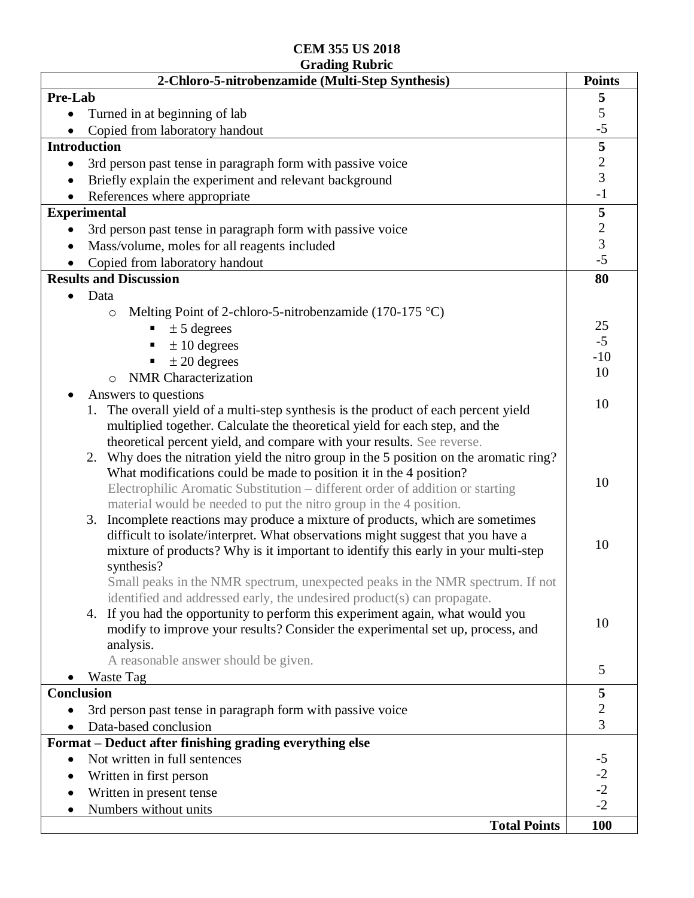| 2-Chloro-5-nitrobenzamide (Multi-Step Synthesis)                                           | <b>Points</b>               |
|--------------------------------------------------------------------------------------------|-----------------------------|
| Pre-Lab                                                                                    | 5                           |
| Turned in at beginning of lab                                                              | $rac{5}{-5}$                |
| Copied from laboratory handout                                                             |                             |
| <b>Introduction</b>                                                                        |                             |
| 3rd person past tense in paragraph form with passive voice<br>$\bullet$                    | $\frac{1}{2}$ $\frac{1}{3}$ |
| Briefly explain the experiment and relevant background                                     |                             |
| References where appropriate                                                               | $-1$                        |
| <b>Experimental</b>                                                                        | 5                           |
| 3rd person past tense in paragraph form with passive voice                                 | $\frac{2}{3}$<br>-5         |
| Mass/volume, moles for all reagents included<br>$\bullet$                                  |                             |
| Copied from laboratory handout                                                             |                             |
| <b>Results and Discussion</b>                                                              | 80                          |
| Data                                                                                       |                             |
| Melting Point of 2-chloro-5-nitrobenzamide (170-175 $^{\circ}$ C)<br>$\circ$               |                             |
| $\pm$ 5 degrees<br>ш                                                                       | 25                          |
| $\pm 10$ degrees                                                                           | $-5$                        |
| $\pm 20$ degrees                                                                           | $-10$                       |
| <b>NMR</b> Characterization<br>$\bigcirc$                                                  | 10                          |
| Answers to questions                                                                       |                             |
| The overall yield of a multi-step synthesis is the product of each percent yield           | 10                          |
| multiplied together. Calculate the theoretical yield for each step, and the                |                             |
| theoretical percent yield, and compare with your results. See reverse.                     |                             |
| Why does the nitration yield the nitro group in the 5 position on the aromatic ring?<br>2. |                             |
| What modifications could be made to position it in the 4 position?                         |                             |
| Electrophilic Aromatic Substitution - different order of addition or starting              | 10                          |
| material would be needed to put the nitro group in the 4 position.                         |                             |
| 3. Incomplete reactions may produce a mixture of products, which are sometimes             |                             |
| difficult to isolate/interpret. What observations might suggest that you have a            |                             |
| mixture of products? Why is it important to identify this early in your multi-step         | 10                          |
| synthesis?                                                                                 |                             |
| Small peaks in the NMR spectrum, unexpected peaks in the NMR spectrum. If not              |                             |
| identified and addressed early, the undesired product(s) can propagate.                    |                             |
| 4. If you had the opportunity to perform this experiment again, what would you             | 10                          |
| modify to improve your results? Consider the experimental set up, process, and             |                             |
| analysis.                                                                                  |                             |
| A reasonable answer should be given.                                                       | 5                           |
| Waste Tag                                                                                  |                             |
| <b>Conclusion</b>                                                                          | 5                           |
| 3rd person past tense in paragraph form with passive voice                                 | $\overline{c}$              |
| Data-based conclusion                                                                      | $\overline{3}$              |
| Format - Deduct after finishing grading everything else                                    |                             |
| Not written in full sentences                                                              | $-5$<br>$-2$<br>$-2$        |
| Written in first person                                                                    |                             |
| Written in present tense                                                                   | $-2$                        |
| Numbers without units                                                                      |                             |
| <b>Total Points</b>                                                                        | <b>100</b>                  |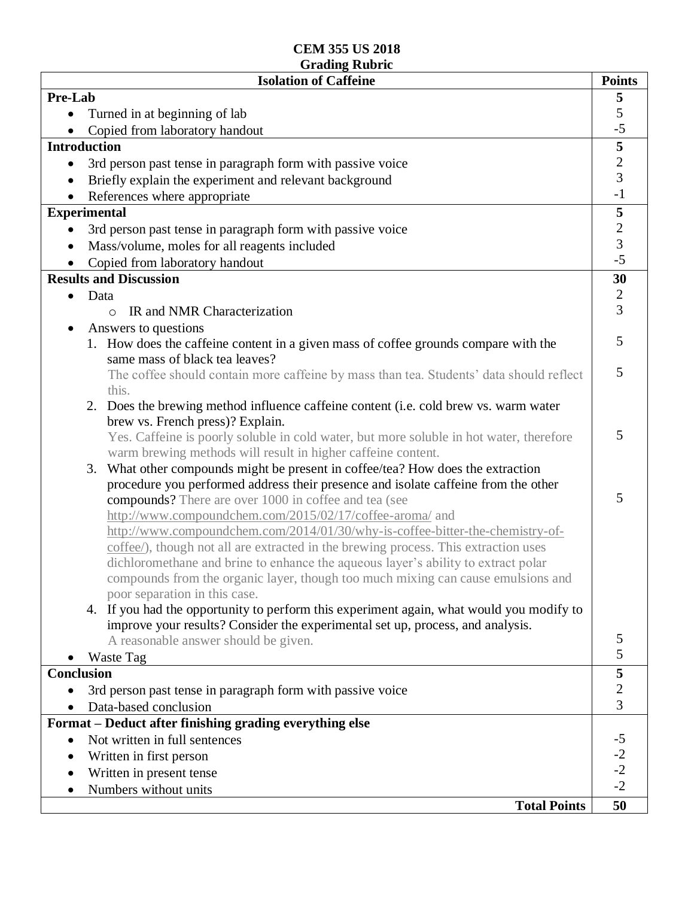| <b>Isolation of Caffeine</b>                                                                     | <b>Points</b>                    |
|--------------------------------------------------------------------------------------------------|----------------------------------|
| Pre-Lab                                                                                          | 5                                |
| Turned in at beginning of lab                                                                    | 5                                |
| Copied from laboratory handout                                                                   | $-5$                             |
| <b>Introduction</b>                                                                              | 5                                |
| 3rd person past tense in paragraph form with passive voice<br>$\bullet$                          | $\overline{c}$                   |
| Briefly explain the experiment and relevant background                                           | $\overline{3}$                   |
| References where appropriate                                                                     | $-1$                             |
| <b>Experimental</b>                                                                              | 5                                |
| 3rd person past tense in paragraph form with passive voice                                       | $\overline{c}$                   |
| Mass/volume, moles for all reagents included                                                     | $\overline{3}$                   |
| Copied from laboratory handout                                                                   | $-5$                             |
| <b>Results and Discussion</b>                                                                    | 30                               |
| Data                                                                                             | $\sqrt{2}$                       |
| IR and NMR Characterization<br>$\Omega$                                                          | $\overline{3}$                   |
| Answers to questions                                                                             |                                  |
| 1. How does the caffeine content in a given mass of coffee grounds compare with the              | 5                                |
| same mass of black tea leaves?                                                                   | 5                                |
| The coffee should contain more caffeine by mass than tea. Students' data should reflect<br>this. |                                  |
| 2. Does the brewing method influence caffeine content (i.e. cold brew vs. warm water             |                                  |
| brew vs. French press)? Explain.                                                                 |                                  |
| Yes. Caffeine is poorly soluble in cold water, but more soluble in hot water, therefore          | 5                                |
| warm brewing methods will result in higher caffeine content.                                     |                                  |
| What other compounds might be present in coffee/tea? How does the extraction<br>3.               |                                  |
| procedure you performed address their presence and isolate caffeine from the other               |                                  |
| compounds? There are over 1000 in coffee and tea (see                                            | 5                                |
| http://www.compoundchem.com/2015/02/17/coffee-aroma/ and                                         |                                  |
| http://www.compoundchem.com/2014/01/30/why-is-coffee-bitter-the-chemistry-of-                    |                                  |
| coffee/), though not all are extracted in the brewing process. This extraction uses              |                                  |
| dichloromethane and brine to enhance the aqueous layer's ability to extract polar                |                                  |
| compounds from the organic layer, though too much mixing can cause emulsions and                 |                                  |
| poor separation in this case.                                                                    |                                  |
| 4. If you had the opportunity to perform this experiment again, what would you modify to         |                                  |
| improve your results? Consider the experimental set up, process, and analysis.                   | 5                                |
| A reasonable answer should be given.                                                             | 5                                |
| Waste Tag                                                                                        |                                  |
| <b>Conclusion</b>                                                                                | 5                                |
| 3rd person past tense in paragraph form with passive voice                                       | $\overline{c}$<br>$\overline{3}$ |
| Data-based conclusion<br>Format – Deduct after finishing grading everything else                 |                                  |
|                                                                                                  | $-5$                             |
| Not written in full sentences                                                                    |                                  |
| Written in first person                                                                          |                                  |
| Written in present tense<br>Numbers without units                                                | $-2$<br>$-2$<br>$-2$             |
| <b>Total Points</b>                                                                              | 50                               |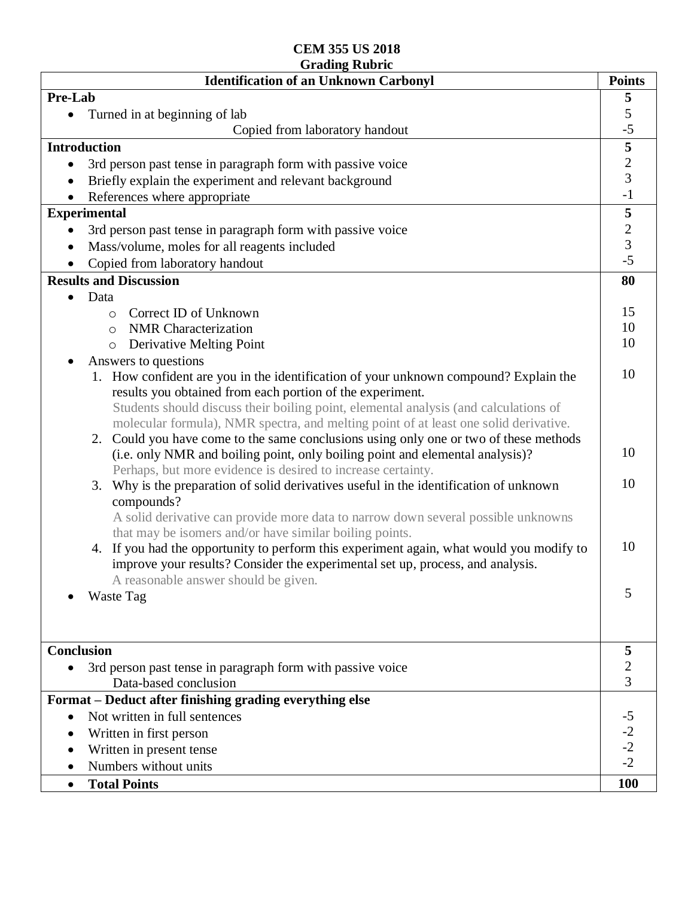| Pre-Lab<br>5<br>5<br>Turned in at beginning of lab<br>$-5$<br>Copied from laboratory handout<br>5<br><b>Introduction</b><br>$\frac{2}{3}$<br>3rd person past tense in paragraph form with passive voice<br>$\bullet$<br>Briefly explain the experiment and relevant background<br>$-1$<br>References where appropriate<br>5<br><b>Experimental</b><br>$\overline{c}$<br>3rd person past tense in paragraph form with passive voice<br>$\overline{3}$<br>Mass/volume, moles for all reagents included<br>$\bullet$<br>$-5$<br>Copied from laboratory handout<br><b>Results and Discussion</b><br>80<br>Data<br>$\bullet$<br>15<br>Correct ID of Unknown<br>$\circ$<br>10<br><b>NMR</b> Characterization<br>$\circ$<br>10<br>Derivative Melting Point<br>$\circ$<br>Answers to questions<br>10<br>How confident are you in the identification of your unknown compound? Explain the<br>results you obtained from each portion of the experiment.<br>Students should discuss their boiling point, elemental analysis (and calculations of<br>molecular formula), NMR spectra, and melting point of at least one solid derivative.<br>2. Could you have come to the same conclusions using only one or two of these methods<br>10<br>(i.e. only NMR and boiling point, only boiling point and elemental analysis)?<br>Perhaps, but more evidence is desired to increase certainty.<br>10<br>Why is the preparation of solid derivatives useful in the identification of unknown<br>3.<br>compounds?<br>A solid derivative can provide more data to narrow down several possible unknowns<br>that may be isomers and/or have similar boiling points.<br>10<br>4. If you had the opportunity to perform this experiment again, what would you modify to<br>improve your results? Consider the experimental set up, process, and analysis.<br>A reasonable answer should be given.<br>5<br>Waste Tag<br><b>Conclusion</b><br>5<br>2<br>3rd person past tense in paragraph form with passive voice<br>3<br>Data-based conclusion<br>Format - Deduct after finishing grading everything else<br>$-5$<br>Not written in full sentences<br>$\bullet$<br>$-2$<br>$-2$<br>Written in first person<br>Written in present tense<br>$-2$<br>Numbers without units<br>100<br><b>Total Points</b><br>$\bullet$ | <b>Identification of an Unknown Carbonyl</b> | <b>Points</b> |
|----------------------------------------------------------------------------------------------------------------------------------------------------------------------------------------------------------------------------------------------------------------------------------------------------------------------------------------------------------------------------------------------------------------------------------------------------------------------------------------------------------------------------------------------------------------------------------------------------------------------------------------------------------------------------------------------------------------------------------------------------------------------------------------------------------------------------------------------------------------------------------------------------------------------------------------------------------------------------------------------------------------------------------------------------------------------------------------------------------------------------------------------------------------------------------------------------------------------------------------------------------------------------------------------------------------------------------------------------------------------------------------------------------------------------------------------------------------------------------------------------------------------------------------------------------------------------------------------------------------------------------------------------------------------------------------------------------------------------------------------------------------------------------------------------------------------------------------------------------------------------------------------------------------------------------------------------------------------------------------------------------------------------------------------------------------------------------------------------------------------------------------------------------------------------------------------------------------------------------------------------------------------------------------------|----------------------------------------------|---------------|
|                                                                                                                                                                                                                                                                                                                                                                                                                                                                                                                                                                                                                                                                                                                                                                                                                                                                                                                                                                                                                                                                                                                                                                                                                                                                                                                                                                                                                                                                                                                                                                                                                                                                                                                                                                                                                                                                                                                                                                                                                                                                                                                                                                                                                                                                                              |                                              |               |
|                                                                                                                                                                                                                                                                                                                                                                                                                                                                                                                                                                                                                                                                                                                                                                                                                                                                                                                                                                                                                                                                                                                                                                                                                                                                                                                                                                                                                                                                                                                                                                                                                                                                                                                                                                                                                                                                                                                                                                                                                                                                                                                                                                                                                                                                                              |                                              |               |
|                                                                                                                                                                                                                                                                                                                                                                                                                                                                                                                                                                                                                                                                                                                                                                                                                                                                                                                                                                                                                                                                                                                                                                                                                                                                                                                                                                                                                                                                                                                                                                                                                                                                                                                                                                                                                                                                                                                                                                                                                                                                                                                                                                                                                                                                                              |                                              |               |
|                                                                                                                                                                                                                                                                                                                                                                                                                                                                                                                                                                                                                                                                                                                                                                                                                                                                                                                                                                                                                                                                                                                                                                                                                                                                                                                                                                                                                                                                                                                                                                                                                                                                                                                                                                                                                                                                                                                                                                                                                                                                                                                                                                                                                                                                                              |                                              |               |
|                                                                                                                                                                                                                                                                                                                                                                                                                                                                                                                                                                                                                                                                                                                                                                                                                                                                                                                                                                                                                                                                                                                                                                                                                                                                                                                                                                                                                                                                                                                                                                                                                                                                                                                                                                                                                                                                                                                                                                                                                                                                                                                                                                                                                                                                                              |                                              |               |
|                                                                                                                                                                                                                                                                                                                                                                                                                                                                                                                                                                                                                                                                                                                                                                                                                                                                                                                                                                                                                                                                                                                                                                                                                                                                                                                                                                                                                                                                                                                                                                                                                                                                                                                                                                                                                                                                                                                                                                                                                                                                                                                                                                                                                                                                                              |                                              |               |
|                                                                                                                                                                                                                                                                                                                                                                                                                                                                                                                                                                                                                                                                                                                                                                                                                                                                                                                                                                                                                                                                                                                                                                                                                                                                                                                                                                                                                                                                                                                                                                                                                                                                                                                                                                                                                                                                                                                                                                                                                                                                                                                                                                                                                                                                                              |                                              |               |
|                                                                                                                                                                                                                                                                                                                                                                                                                                                                                                                                                                                                                                                                                                                                                                                                                                                                                                                                                                                                                                                                                                                                                                                                                                                                                                                                                                                                                                                                                                                                                                                                                                                                                                                                                                                                                                                                                                                                                                                                                                                                                                                                                                                                                                                                                              |                                              |               |
|                                                                                                                                                                                                                                                                                                                                                                                                                                                                                                                                                                                                                                                                                                                                                                                                                                                                                                                                                                                                                                                                                                                                                                                                                                                                                                                                                                                                                                                                                                                                                                                                                                                                                                                                                                                                                                                                                                                                                                                                                                                                                                                                                                                                                                                                                              |                                              |               |
|                                                                                                                                                                                                                                                                                                                                                                                                                                                                                                                                                                                                                                                                                                                                                                                                                                                                                                                                                                                                                                                                                                                                                                                                                                                                                                                                                                                                                                                                                                                                                                                                                                                                                                                                                                                                                                                                                                                                                                                                                                                                                                                                                                                                                                                                                              |                                              |               |
|                                                                                                                                                                                                                                                                                                                                                                                                                                                                                                                                                                                                                                                                                                                                                                                                                                                                                                                                                                                                                                                                                                                                                                                                                                                                                                                                                                                                                                                                                                                                                                                                                                                                                                                                                                                                                                                                                                                                                                                                                                                                                                                                                                                                                                                                                              |                                              |               |
|                                                                                                                                                                                                                                                                                                                                                                                                                                                                                                                                                                                                                                                                                                                                                                                                                                                                                                                                                                                                                                                                                                                                                                                                                                                                                                                                                                                                                                                                                                                                                                                                                                                                                                                                                                                                                                                                                                                                                                                                                                                                                                                                                                                                                                                                                              |                                              |               |
|                                                                                                                                                                                                                                                                                                                                                                                                                                                                                                                                                                                                                                                                                                                                                                                                                                                                                                                                                                                                                                                                                                                                                                                                                                                                                                                                                                                                                                                                                                                                                                                                                                                                                                                                                                                                                                                                                                                                                                                                                                                                                                                                                                                                                                                                                              |                                              |               |
|                                                                                                                                                                                                                                                                                                                                                                                                                                                                                                                                                                                                                                                                                                                                                                                                                                                                                                                                                                                                                                                                                                                                                                                                                                                                                                                                                                                                                                                                                                                                                                                                                                                                                                                                                                                                                                                                                                                                                                                                                                                                                                                                                                                                                                                                                              |                                              |               |
|                                                                                                                                                                                                                                                                                                                                                                                                                                                                                                                                                                                                                                                                                                                                                                                                                                                                                                                                                                                                                                                                                                                                                                                                                                                                                                                                                                                                                                                                                                                                                                                                                                                                                                                                                                                                                                                                                                                                                                                                                                                                                                                                                                                                                                                                                              |                                              |               |
|                                                                                                                                                                                                                                                                                                                                                                                                                                                                                                                                                                                                                                                                                                                                                                                                                                                                                                                                                                                                                                                                                                                                                                                                                                                                                                                                                                                                                                                                                                                                                                                                                                                                                                                                                                                                                                                                                                                                                                                                                                                                                                                                                                                                                                                                                              |                                              |               |
|                                                                                                                                                                                                                                                                                                                                                                                                                                                                                                                                                                                                                                                                                                                                                                                                                                                                                                                                                                                                                                                                                                                                                                                                                                                                                                                                                                                                                                                                                                                                                                                                                                                                                                                                                                                                                                                                                                                                                                                                                                                                                                                                                                                                                                                                                              |                                              |               |
|                                                                                                                                                                                                                                                                                                                                                                                                                                                                                                                                                                                                                                                                                                                                                                                                                                                                                                                                                                                                                                                                                                                                                                                                                                                                                                                                                                                                                                                                                                                                                                                                                                                                                                                                                                                                                                                                                                                                                                                                                                                                                                                                                                                                                                                                                              |                                              |               |
|                                                                                                                                                                                                                                                                                                                                                                                                                                                                                                                                                                                                                                                                                                                                                                                                                                                                                                                                                                                                                                                                                                                                                                                                                                                                                                                                                                                                                                                                                                                                                                                                                                                                                                                                                                                                                                                                                                                                                                                                                                                                                                                                                                                                                                                                                              |                                              |               |
|                                                                                                                                                                                                                                                                                                                                                                                                                                                                                                                                                                                                                                                                                                                                                                                                                                                                                                                                                                                                                                                                                                                                                                                                                                                                                                                                                                                                                                                                                                                                                                                                                                                                                                                                                                                                                                                                                                                                                                                                                                                                                                                                                                                                                                                                                              |                                              |               |
|                                                                                                                                                                                                                                                                                                                                                                                                                                                                                                                                                                                                                                                                                                                                                                                                                                                                                                                                                                                                                                                                                                                                                                                                                                                                                                                                                                                                                                                                                                                                                                                                                                                                                                                                                                                                                                                                                                                                                                                                                                                                                                                                                                                                                                                                                              |                                              |               |
|                                                                                                                                                                                                                                                                                                                                                                                                                                                                                                                                                                                                                                                                                                                                                                                                                                                                                                                                                                                                                                                                                                                                                                                                                                                                                                                                                                                                                                                                                                                                                                                                                                                                                                                                                                                                                                                                                                                                                                                                                                                                                                                                                                                                                                                                                              |                                              |               |
|                                                                                                                                                                                                                                                                                                                                                                                                                                                                                                                                                                                                                                                                                                                                                                                                                                                                                                                                                                                                                                                                                                                                                                                                                                                                                                                                                                                                                                                                                                                                                                                                                                                                                                                                                                                                                                                                                                                                                                                                                                                                                                                                                                                                                                                                                              |                                              |               |
|                                                                                                                                                                                                                                                                                                                                                                                                                                                                                                                                                                                                                                                                                                                                                                                                                                                                                                                                                                                                                                                                                                                                                                                                                                                                                                                                                                                                                                                                                                                                                                                                                                                                                                                                                                                                                                                                                                                                                                                                                                                                                                                                                                                                                                                                                              |                                              |               |
|                                                                                                                                                                                                                                                                                                                                                                                                                                                                                                                                                                                                                                                                                                                                                                                                                                                                                                                                                                                                                                                                                                                                                                                                                                                                                                                                                                                                                                                                                                                                                                                                                                                                                                                                                                                                                                                                                                                                                                                                                                                                                                                                                                                                                                                                                              |                                              |               |
|                                                                                                                                                                                                                                                                                                                                                                                                                                                                                                                                                                                                                                                                                                                                                                                                                                                                                                                                                                                                                                                                                                                                                                                                                                                                                                                                                                                                                                                                                                                                                                                                                                                                                                                                                                                                                                                                                                                                                                                                                                                                                                                                                                                                                                                                                              |                                              |               |
|                                                                                                                                                                                                                                                                                                                                                                                                                                                                                                                                                                                                                                                                                                                                                                                                                                                                                                                                                                                                                                                                                                                                                                                                                                                                                                                                                                                                                                                                                                                                                                                                                                                                                                                                                                                                                                                                                                                                                                                                                                                                                                                                                                                                                                                                                              |                                              |               |
|                                                                                                                                                                                                                                                                                                                                                                                                                                                                                                                                                                                                                                                                                                                                                                                                                                                                                                                                                                                                                                                                                                                                                                                                                                                                                                                                                                                                                                                                                                                                                                                                                                                                                                                                                                                                                                                                                                                                                                                                                                                                                                                                                                                                                                                                                              |                                              |               |
|                                                                                                                                                                                                                                                                                                                                                                                                                                                                                                                                                                                                                                                                                                                                                                                                                                                                                                                                                                                                                                                                                                                                                                                                                                                                                                                                                                                                                                                                                                                                                                                                                                                                                                                                                                                                                                                                                                                                                                                                                                                                                                                                                                                                                                                                                              |                                              |               |
|                                                                                                                                                                                                                                                                                                                                                                                                                                                                                                                                                                                                                                                                                                                                                                                                                                                                                                                                                                                                                                                                                                                                                                                                                                                                                                                                                                                                                                                                                                                                                                                                                                                                                                                                                                                                                                                                                                                                                                                                                                                                                                                                                                                                                                                                                              |                                              |               |
|                                                                                                                                                                                                                                                                                                                                                                                                                                                                                                                                                                                                                                                                                                                                                                                                                                                                                                                                                                                                                                                                                                                                                                                                                                                                                                                                                                                                                                                                                                                                                                                                                                                                                                                                                                                                                                                                                                                                                                                                                                                                                                                                                                                                                                                                                              |                                              |               |
|                                                                                                                                                                                                                                                                                                                                                                                                                                                                                                                                                                                                                                                                                                                                                                                                                                                                                                                                                                                                                                                                                                                                                                                                                                                                                                                                                                                                                                                                                                                                                                                                                                                                                                                                                                                                                                                                                                                                                                                                                                                                                                                                                                                                                                                                                              |                                              |               |
|                                                                                                                                                                                                                                                                                                                                                                                                                                                                                                                                                                                                                                                                                                                                                                                                                                                                                                                                                                                                                                                                                                                                                                                                                                                                                                                                                                                                                                                                                                                                                                                                                                                                                                                                                                                                                                                                                                                                                                                                                                                                                                                                                                                                                                                                                              |                                              |               |
|                                                                                                                                                                                                                                                                                                                                                                                                                                                                                                                                                                                                                                                                                                                                                                                                                                                                                                                                                                                                                                                                                                                                                                                                                                                                                                                                                                                                                                                                                                                                                                                                                                                                                                                                                                                                                                                                                                                                                                                                                                                                                                                                                                                                                                                                                              |                                              |               |
|                                                                                                                                                                                                                                                                                                                                                                                                                                                                                                                                                                                                                                                                                                                                                                                                                                                                                                                                                                                                                                                                                                                                                                                                                                                                                                                                                                                                                                                                                                                                                                                                                                                                                                                                                                                                                                                                                                                                                                                                                                                                                                                                                                                                                                                                                              |                                              |               |
|                                                                                                                                                                                                                                                                                                                                                                                                                                                                                                                                                                                                                                                                                                                                                                                                                                                                                                                                                                                                                                                                                                                                                                                                                                                                                                                                                                                                                                                                                                                                                                                                                                                                                                                                                                                                                                                                                                                                                                                                                                                                                                                                                                                                                                                                                              |                                              |               |
|                                                                                                                                                                                                                                                                                                                                                                                                                                                                                                                                                                                                                                                                                                                                                                                                                                                                                                                                                                                                                                                                                                                                                                                                                                                                                                                                                                                                                                                                                                                                                                                                                                                                                                                                                                                                                                                                                                                                                                                                                                                                                                                                                                                                                                                                                              |                                              |               |
|                                                                                                                                                                                                                                                                                                                                                                                                                                                                                                                                                                                                                                                                                                                                                                                                                                                                                                                                                                                                                                                                                                                                                                                                                                                                                                                                                                                                                                                                                                                                                                                                                                                                                                                                                                                                                                                                                                                                                                                                                                                                                                                                                                                                                                                                                              |                                              |               |
|                                                                                                                                                                                                                                                                                                                                                                                                                                                                                                                                                                                                                                                                                                                                                                                                                                                                                                                                                                                                                                                                                                                                                                                                                                                                                                                                                                                                                                                                                                                                                                                                                                                                                                                                                                                                                                                                                                                                                                                                                                                                                                                                                                                                                                                                                              |                                              |               |
|                                                                                                                                                                                                                                                                                                                                                                                                                                                                                                                                                                                                                                                                                                                                                                                                                                                                                                                                                                                                                                                                                                                                                                                                                                                                                                                                                                                                                                                                                                                                                                                                                                                                                                                                                                                                                                                                                                                                                                                                                                                                                                                                                                                                                                                                                              |                                              |               |
|                                                                                                                                                                                                                                                                                                                                                                                                                                                                                                                                                                                                                                                                                                                                                                                                                                                                                                                                                                                                                                                                                                                                                                                                                                                                                                                                                                                                                                                                                                                                                                                                                                                                                                                                                                                                                                                                                                                                                                                                                                                                                                                                                                                                                                                                                              |                                              |               |
|                                                                                                                                                                                                                                                                                                                                                                                                                                                                                                                                                                                                                                                                                                                                                                                                                                                                                                                                                                                                                                                                                                                                                                                                                                                                                                                                                                                                                                                                                                                                                                                                                                                                                                                                                                                                                                                                                                                                                                                                                                                                                                                                                                                                                                                                                              |                                              |               |
|                                                                                                                                                                                                                                                                                                                                                                                                                                                                                                                                                                                                                                                                                                                                                                                                                                                                                                                                                                                                                                                                                                                                                                                                                                                                                                                                                                                                                                                                                                                                                                                                                                                                                                                                                                                                                                                                                                                                                                                                                                                                                                                                                                                                                                                                                              |                                              |               |